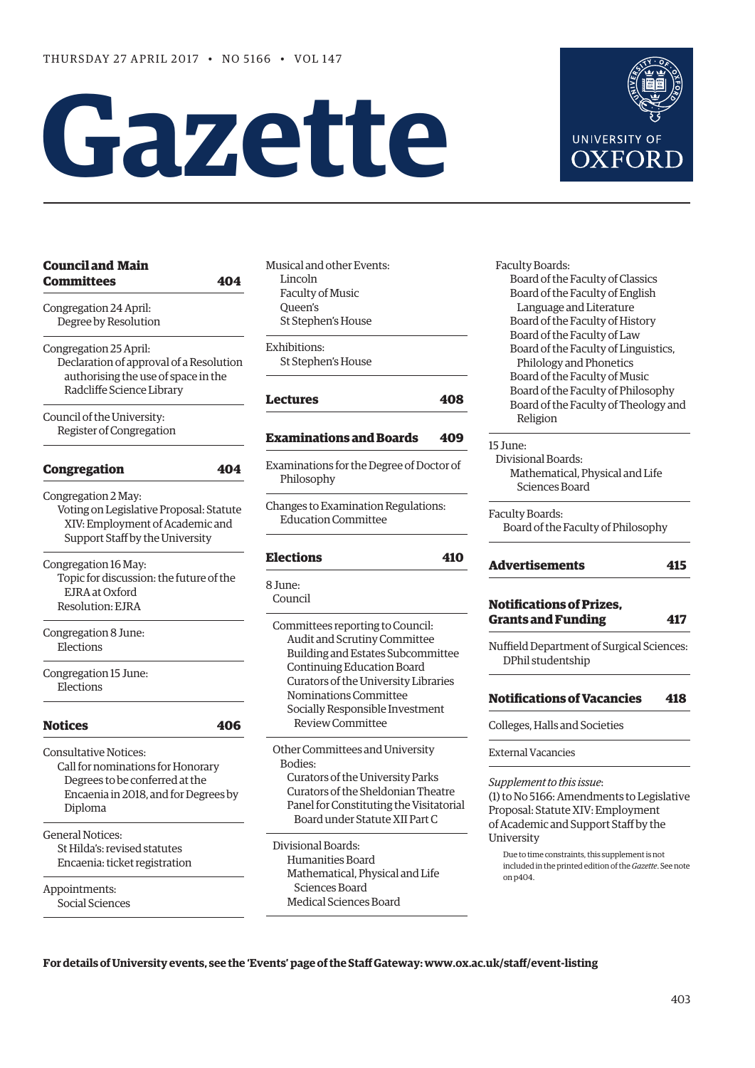# **Gazette**

| <b>Council and Main</b><br><b>Committees</b><br>404                                                                                                    |
|--------------------------------------------------------------------------------------------------------------------------------------------------------|
| Congregation 24 April:<br>Degree by Resolution                                                                                                         |
| Congregation 25 April:<br>Declaration of approval of a Resolution<br>authorising the use of space in the<br>Radcliffe Science Library                  |
| Council of the University:<br>Register of Congregation                                                                                                 |
| <b>Congregation</b><br>404                                                                                                                             |
| Congregation 2 May:<br>Voting on Legislative Proposal: Statute<br>XIV: Employment of Academic and<br>Support Staff by the University                   |
| Congregation 16 May:<br>Topic for discussion: the future of the<br>EJRA at Oxford<br>Resolution: EJRA                                                  |
| Congregation 8 June:<br>Elections                                                                                                                      |
| Congregation 15 June:<br>Elections                                                                                                                     |
| <b>Notices</b><br>406                                                                                                                                  |
| <b>Consultative Notices:</b><br>Call for nominations for Honorary<br>Degrees to be conferred at the<br>Encaenia in 2018, and for Degrees by<br>Diploma |
| <b>General Notices:</b><br>St Hilda's: revised statutes<br>Encaenia: ticket registration                                                               |
| Appointments:<br>Social Sciences                                                                                                                       |

Musical and other Events: Lincoln Faculty of Music Queen's St Stephen's House

Exhibitions: St Stephen's House

# **[Lectures](#page-5-0) 408**

# **[Examinations and Boards](#page-6-0) 409**

Examinations for the Degree of Doctor of Philosophy

Changes to Examination Regulations: Education Committee

# **[Elections](#page-7-0) 410**

8 June: Council

> Committees reporting to Council: Audit and Scrutiny Committee Building and Estates Subcommittee Continuing Education Board Curators of the University Libraries Nominations Committee Socially Responsible Investment Review Committee

 Other Committees and University Bodies: Curators of the University Parks Curators of the Sheldonian Theatre Panel for Constituting the Visitatorial Board under Statute XII Part C

 Divisional Boards: Humanities Board Mathematical, Physical and Life Sciences Board Medical Sciences Board

 Faculty Boards: Board of the Faculty of Classics Board of the Faculty of English Language and Literature Board of the Faculty of History Board of the Faculty of Law Board of the Faculty of Linguistics, Philology and Phonetics Board of the Faculty of Music Board of the Faculty of Philosophy Board of the Faculty of Theology and Religion

# 15 June:

 Divisional Boards: Mathematical, Physical and Life Sciences Board

Faculty Boards: Board of the Faculty of Philosophy

# **[Advertisements](#page-12-0) 415**

# **[Notifications of Prizes,](#page-14-0)  Grants and Funding 417**

Nuffield Department of Surgical Sciences: DPhil studentship

# **[Notifications of Vacancies 418](#page-15-0)**

Colleges, Halls and Societies

External Vacancies

*Supplement to this issue*:

(1) to No 5166: Amendments to Legislative Proposal: Statute XIV: Employment of Academic and Support Staff by the University

Due to time constraints, this supplement is not included in the printed edition of the *Gazette*. See note on p404.

**For details of University events, see the 'Events' page of the Staff Gateway: [www.ox.ac.uk/staff/event-listing](http://www.ox.ac.uk/staff/event-listing)**

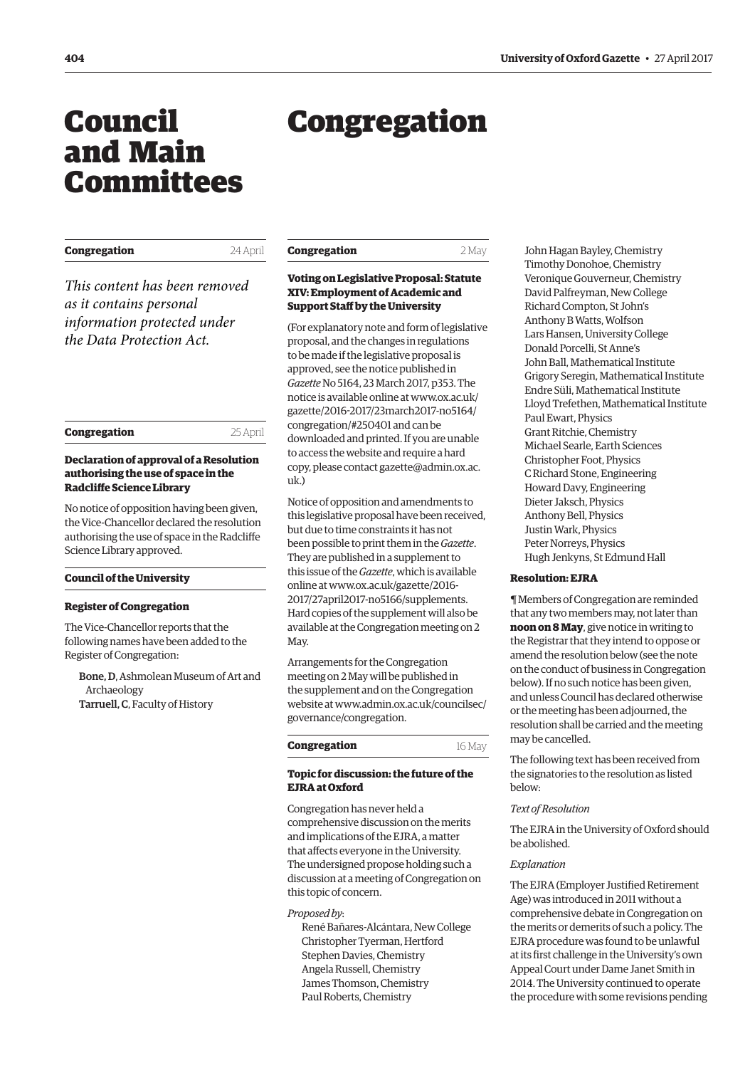# <span id="page-1-0"></span>Council and Main Committees

# Congregation

| Congregation |  | 24 April | Congregatio  |
|--------------|--|----------|--------------|
| $-1$         |  |          | Voting on Le |

*This content has been removed as it contains personal information protected under the Data Protection Act.*

| Congregation | 25 April |
|--------------|----------|
|              |          |

# **Declaration of approval of a Resolution authorising the use of space in the Radcliffe Science Library**

No notice of opposition having been given, the Vice-Chancellor declared the resolution authorising the use of space in the Radcliffe Science Library approved.

# **Council of the University**

#### **Register of Congregation**

The Vice-Chancellor reports that the following names have been added to the Register of Congregation:

Bone, D, Ashmolean Museum of Art and Archaeology Tarruell, C, Faculty of History

| Congregation | 2 May |
|--------------|-------|
|              |       |

# **Voting on Legislative Proposal: Statute XIV: Employment of Academic and Support Staff by the University**

(For explanatory note and form of legislative proposal, and the changes in regulations to be made if the legislative proposal is approved, see the notice published in *Gazette* [No 5164, 23 March 2017, p353](www.ox.ac.uk/gazette/2016-2017/23march2017-no5164/congregation/#250401). The [notice is available online at www.ox.ac.uk/](www.ox.ac.uk/gazette/2016-2017/23march2017-no5164/congregation/#250401) gazette/2016-2017/23march2017-no5164/ congregation/#250401 and can be downloaded and printed. If you are unable to access the website and require a hard [copy, please contact gazette@admin.ox.ac.](mailto:gazette@admin.ox.ac.uk) uk.)

Notice of opposition and amendments to this legislative proposal have been received, but due to time constraints it has not been possible to print them in the *Gazette*. They are published in a supplement to this issue of the *Gazette*, which is available online at [www.ox.ac.uk/gazette/2016-](http://www.ox.ac.uk/gazette/2016-2017/27april2017-no5166/supplements) [2017/27april2017-no5166/supplements.](http://www.ox.ac.uk/gazette/2016-2017/27april2017-no5166/supplements)  Hard copies of the supplement will also be available at the Congregation meeting on 2 May.

Arrangements for the Congregation meeting on 2 May will be published in the supplement and on the Congregation [website at www.admin.ox.ac.uk/councilsec/](www.admin.ox.ac.uk/councilsec/governance/congregation) governance/congregation.

| Congregation | 16 May |
|--------------|--------|
|              |        |

# **Topic for discussion: the future of the EJRA at Oxford**

Congregation has never held a comprehensive discussion on the merits and implications of the EJRA, a matter that affects everyone in the University. The undersigned propose holding such a discussion at a meeting of Congregation on this topic of concern.

# *Proposed by*:

René Bañares-Alcántara, New College Christopher Tyerman, Hertford Stephen Davies, Chemistry Angela Russell, Chemistry James Thomson, Chemistry Paul Roberts, Chemistry

John Hagan Bayley, Chemistry Timothy Donohoe, Chemistry Veronique Gouverneur, Chemistry David Palfreyman, New College Richard Compton, St John's Anthony B Watts, Wolfson Lars Hansen, University College Donald Porcelli, St Anne's John Ball, Mathematical Institute Grigory Seregin, Mathematical Institute Endre Süli, Mathematical Institute Lloyd Trefethen, Mathematical Institute Paul Ewart, Physics Grant Ritchie, Chemistry Michael Searle, Earth Sciences Christopher Foot, Physics C Richard Stone, Engineering Howard Davy, Engineering Dieter Jaksch, Physics Anthony Bell, Physics Justin Wark, Physics Peter Norreys, Physics Hugh Jenkyns, St Edmund Hall

# **Resolution: EJRA**

¶ Members of Congregation are reminded that any two members may, not later than **noon on 8 May**, give notice in writing to the Registrar that they intend to oppose or amend the resolution below (see the note on the conduct of business in Congregation below). If no such notice has been given, and unless Council has declared otherwise or the meeting has been adjourned, the resolution shall be carried and the meeting may be cancelled.

The following text has been received from the signatories to the resolution as listed below:

#### *Text of Resolution*

The EJRA in the University of Oxford should be abolished.

#### *Explanation*

The EJRA (Employer Justified Retirement Age) was introduced in 2011 without a comprehensive debate in Congregation on the merits or demerits of such a policy. The EJRA procedure was found to be unlawful at its first challenge in the University's own Appeal Court under Dame Janet Smith in 2014. The University continued to operate the procedure with some revisions pending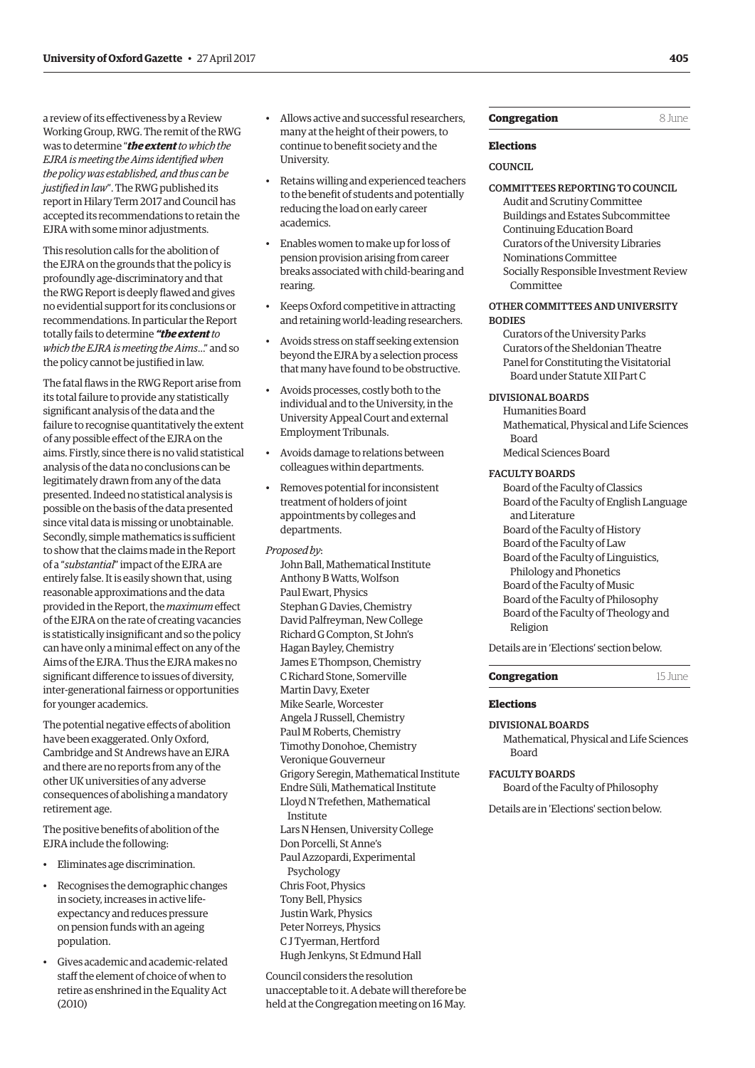a review of its effectiveness by a Review Working Group, RWG. The remit of the RWG was to determine "*the extent to which the EJRA is meeting the Aims identified when the policy was established, and thus can be justified in law*". The RWG published its report in Hilary Term 2017 and Council has accepted its recommendations to retain the EJRA with some minor adjustments.

This resolution calls for the abolition of the EJRA on the grounds that the policy is profoundly age-discriminatory and that the RWG Report is deeply flawed and gives no evidential support for its conclusions or recommendations. In particular the Report totally fails to determine *"the extent to which the EJRA is meeting the Aims*…" and so the policy cannot be justified in law.

The fatal flaws in the RWG Report arise from its total failure to provide any statistically significant analysis of the data and the failure to recognise quantitatively the extent of any possible effect of the EJRA on the aims. Firstly, since there is no valid statistical analysis of the data no conclusions can be legitimately drawn from any of the data presented. Indeed no statistical analysis is possible on the basis of the data presented since vital data is missing or unobtainable. Secondly, simple mathematics is sufficient to show that the claims made in the Report of a "*substantial*" impact of the EJRA are entirely false. It is easily shown that, using reasonable approximations and the data provided in the Report, the *maximum* effect of the EJRA on the rate of creating vacancies is statistically insignificant and so the policy can have only a minimal effect on any of the Aims of the EJRA. Thus the EJRA makes no significant difference to issues of diversity, inter-generational fairness or opportunities for younger academics.

The potential negative effects of abolition have been exaggerated. Only Oxford, Cambridge and St Andrews have an EJRA and there are no reports from any of the other UK universities of any adverse consequences of abolishing a mandatory retirement age.

The positive benefits of abolition of the EJRA include the following:

- Eliminates age discrimination.
- Recognises the demographic changes in society, increases in active lifeexpectancy and reduces pressure on pension funds with an ageing population.
- Gives academic and academic-related staff the element of choice of when to retire as enshrined in the Equality Act (2010)
- Allows active and successful researchers, many at the height of their powers, to continue to benefit society and the University.
- Retains willing and experienced teachers to the benefit of students and potentially reducing the load on early career academics.
- Enables women to make up for loss of pension provision arising from career breaks associated with child-bearing and rearing.
- Keeps Oxford competitive in attracting and retaining world-leading researchers.
- Avoids stress on staff seeking extension beyond the EJRA by a selection process that many have found to be obstructive.
- Avoids processes, costly both to the individual and to the University, in the University Appeal Court and external Employment Tribunals.
- Avoids damage to relations between colleagues within departments.
- Removes potential for inconsistent treatment of holders of joint appointments by colleges and departments.

# *Proposed by*:

John Ball, Mathematical Institute Anthony B Watts, Wolfson Paul Ewart, Physics Stephan G Davies, Chemistry David Palfreyman, New College Richard G Compton, St John's Hagan Bayley, Chemistry James E Thompson, Chemistry C Richard Stone, Somerville Martin Davy, Exeter Mike Searle, Worcester Angela J Russell, Chemistry Paul M Roberts, Chemistry Timothy Donohoe, Chemistry Veronique Gouverneur Grigory Seregin, Mathematical Institute Endre Süli, Mathematical Institute Lloyd N Trefethen, Mathematical Institute Lars N Hensen, University College Don Porcelli, St Anne's Paul Azzopardi, Experimental Psychology Chris Foot, Physics Tony Bell, Physics Justin Wark, Physics Peter Norreys, Physics C J Tyerman, Hertford Hugh Jenkyns, St Edmund Hall

Council considers the resolution unacceptable to it. A debate will therefore be held at the Congregation meeting on 16 May.

# **Congregation** 8 June

# **Elections**

# **COUNCIL**

COMMITTEES REPORTING TO COUNCIL Audit and Scrutiny Committee Buildings and Estates Subcommittee Continuing Education Board

Curators of the University Libraries Nominations Committee

Socially Responsible Investment Review Committee

# OTHER COMMITTEES AND UNIVERSITY BODIES

Curators of the University Parks Curators of the Sheldonian Theatre Panel for Constituting the Visitatorial Board under Statute XII Part C

# DIVISIONAL BOARDS

Humanities Board Mathematical, Physical and Life Sciences Board Medical Sciences Board

#### FACULTY BOARDS

Board of the Faculty of Classics Board of the Faculty of English Language and Literature Board of the Faculty of History Board of the Faculty of Law Board of the Faculty of Linguistics, Philology and Phonetics Board of the Faculty of Music Board of the Faculty of Philosophy Board of the Faculty of Theology and Religion

Details are in '[Elections'](#page-7-0) section below.

#### **Congregation** 15 June

#### **Elections**

#### DIVISIONAL BOARDS

Mathematical, Physical and Life Sciences Board

# FACULTY BOARDS

Board of the Faculty of Philosophy

Details are in '[Elections](#page-11-0)' section below.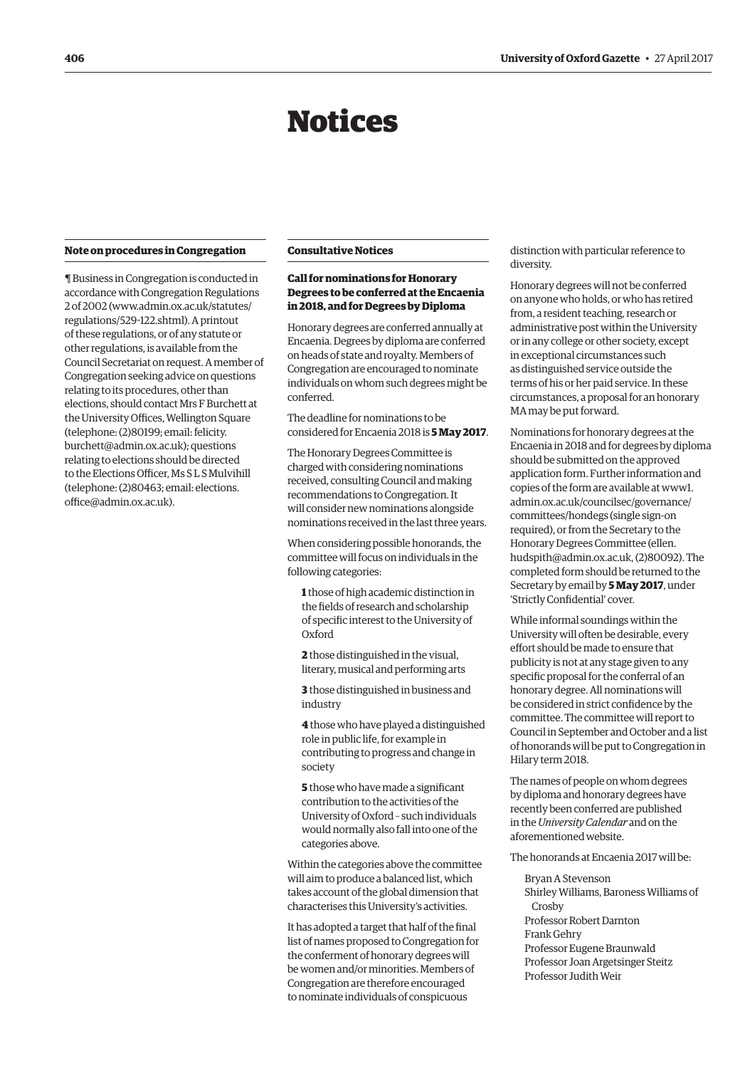# Notices

#### <span id="page-3-0"></span>**Note on procedures in Congregation**

¶ Business in Congregation is conducted in accordance with Congregation Regulations 2 of 2002 [\(www.admin.ox.ac.uk/statutes/](http://www.admin.ox.ac.uk/statutes/regulations/529-122.shtml) [regulations/529-122.shtml\). A](http://www.admin.ox.ac.uk/statutes/regulations/529-122.shtml) printout of these regulations, or of any statute or other regulations, is available from the Council Secretariat on request. A member of Congregation seeking advice on questions relating to its procedures, other than elections, should contact Mrs F Burchett at the University Offices, Wellington Square (telephone: (2)80199; email: felicity. [burchett@admin.ox.ac.uk\); questions](mailto:felicity.burchett@admin.ox.ac.uk)  relating to elections should be directed to the Elections Officer, Ms S L S Mulvihill [\(telephone: \(2\)80463; email: elections.](mailto:elections.office@admin.ox.ac.uk) office@admin.ox.ac.uk).

# **Consultative Notices**

# **Call for nominations for Honorary Degrees to be conferred at the Encaenia in 2018, and for Degrees by Diploma**

Honorary degrees are conferred annually at Encaenia. Degrees by diploma are conferred on heads of state and royalty. Members of Congregation are encouraged to nominate individuals on whom such degrees might be conferred.

The deadline for nominations to be considered for Encaenia 2018 is **5 May 2017**.

The Honorary Degrees Committee is charged with considering nominations received, consulting Council and making recommendations to Congregation. It will consider new nominations alongside nominations received in the last three years.

When considering possible honorands, the committee will focus on individuals in the following categories:

**1** those of high academic distinction in the fields of research and scholarship of specific interest to the University of Oxford

**2** those distinguished in the visual, literary, musical and performing arts

**3** those distinguished in business and industry

**4** those who have played a distinguished role in public life, for example in contributing to progress and change in society

**5** those who have made a significant contribution to the activities of the University of Oxford – such individuals would normally also fall into one of the categories above.

Within the categories above the committee will aim to produce a balanced list, which takes account of the global dimension that characterises this University's activities.

It has adopted a target that half of the final list of names proposed to Congregation for the conferment of honorary degrees will be women and/or minorities. Members of Congregation are therefore encouraged to nominate individuals of conspicuous

distinction with particular reference to diversity.

Honorary degrees will not be conferred on anyone who holds, or who has retired from, a resident teaching, research or administrative post within the University or in any college or other society, except in exceptional circumstances such as distinguished service outside the terms of his or her paid service. In these circumstances, a proposal for an honorary MA may be put forward.

Nominations for honorary degrees at the Encaenia in 2018 and for degrees by diploma should be submitted on the approved application form. Further information and copies of the form are available at www1. [admin.ox.ac.uk/councilsec/governance/](https://www1.admin.ox.ac.uk/councilsec/governance/committees/hondegs) committees/hondegs (single sign-on required), or from the Secretary to the Honorary Degrees Committee (ellen. [hudspith@admin.ox.ac.uk, \(2\)80092\). The](mailto:ellen.hudspith@admin.ox.ac.uk)  completed form should be returned to the Secretary by email by **5 May 2017**, under 'Strictly Confidential' cover.

While informal soundings within the University will often be desirable, every effort should be made to ensure that publicity is not at any stage given to any specific proposal for the conferral of an honorary degree. All nominations will be considered in strict confidence by the committee. The committee will report to Council in September and October and a list of honorands will be put to Congregation in Hilary term 2018.

The names of people on whom degrees by diploma and honorary degrees have recently been conferred are published in the *University Calendar* and on the aforementioned website.

The honorands at Encaenia 2017 will be:

Bryan A Stevenson Shirley Williams, Baroness Williams of Crosby Professor Robert Darnton Frank Gehry Professor Eugene Braunwald Professor Joan Argetsinger Steitz Professor Judith Weir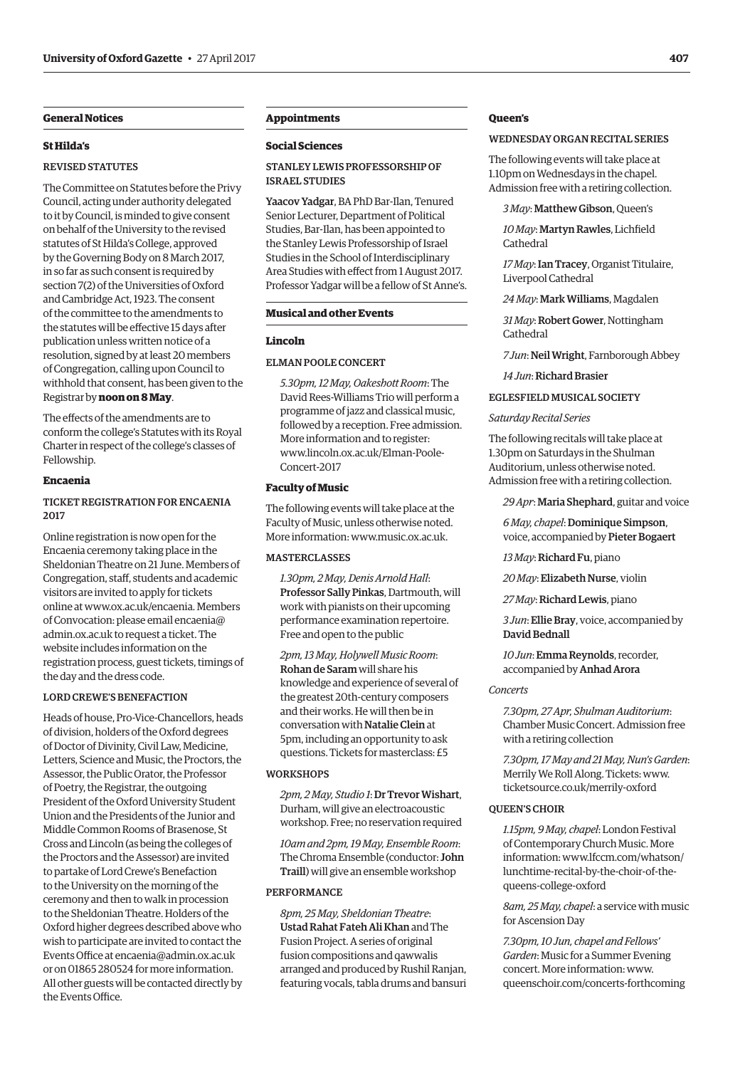# **General Notices**

# **St Hilda's**

# REVISED STATUTES

The Committee on Statutes before the Privy Council, acting under authority delegated to it by Council, is minded to give consent on behalf of the University to the revised statutes of St Hilda's College, approved by the Governing Body on 8 March 2017, in so far as such consent is required by section 7(2) of the Universities of Oxford and Cambridge Act, 1923. The consent of the committee to the amendments to the statutes will be effective 15 days after publication unless written notice of a resolution, signed by at least 20 members of Congregation, calling upon Council to withhold that consent, has been given to the Registrar by **noon on 8 May**.

The effects of the amendments are to conform the college's Statutes with its Royal Charter in respect of the college's classes of Fellowship.

# **Encaenia**

# TICKET REGISTRATION FOR ENCAENIA 2017

Online registration is now open for the Encaenia ceremony taking place in the Sheldonian Theatre on 21 June. Members of Congregation, staff, students and academic visitors are invited to apply for tickets online at [www.ox.ac.uk/encaenia. M](http://www.ox.ac.uk/encaenia)embers [of Convocation: please email encaenia@](mailto:encaenia@admin.ox.ac.uk) admin.ox.ac.uk to request a ticket. The website includes information on the registration process, guest tickets, timings of the day and the dress code.

#### LORD CREWE'S BENEFACTION

Heads of house, Pro-Vice-Chancellors, heads of division, holders of the Oxford degrees of Doctor of Divinity, Civil Law, Medicine, Letters, Science and Music, the Proctors, the Assessor, the Public Orator, the Professor of Poetry, the Registrar, the outgoing President of the Oxford University Student Union and the Presidents of the Junior and Middle Common Rooms of Brasenose, St Cross and Lincoln (as being the colleges of the Proctors and the Assessor) are invited to partake of Lord Crewe's Benefaction to the University on the morning of the ceremony and then to walk in procession to the Sheldonian Theatre. Holders of the Oxford higher degrees described above who wish to participate are invited to contact the Events Office at [encaenia@admin.ox.ac.uk](mailto:encaenia@admin.ox.ac.uk)  or on 01865 280524 for more information. All other guests will be contacted directly by the Events Office.

# **Appointments**

## **Social Sciences**

# STANLEY LEWIS PROFESSORSHIP OF ISRAEL STUDIES

Yaacov Yadgar, BA PhD Bar-Ilan, Tenured Senior Lecturer, Department of Political Studies, Bar-Ilan, has been appointed to the Stanley Lewis Professorship of Israel Studies in the School of Interdisciplinary Area Studies with effect from 1 August 2017. Professor Yadgar will be a fellow of St Anne's.

# **Musical and other Events**

#### **Lincoln**

#### ELMAN POOLE CONCERT

*5.30pm, 12 May, Oakeshott Room*: The David Rees-Williams Trio will perform a programme of jazz and classical music, followed by a reception. Free admission. More information and to register: [www.lincoln.ox.ac.uk/Elman-Poole-](www.lincoln.ox.ac.uk/Elman-Poole-Concert-2017)Concert-2017

#### **Faculty of Music**

The following events will take place at the Faculty of Music, unless otherwise noted. More information: [www.music.ox.ac.uk.](http://www.music.ox.ac.uk)

# **MASTERCLASSES**

*1.30pm, 2 May, Denis Arnold Hall*: Professor Sally Pinkas, Dartmouth, will work with pianists on their upcoming performance examination repertoire. Free and open to the public

*2pm, 13 May, Holywell Music Room*: Rohan de Saram will share his knowledge and experience of several of the greatest 20th-century composers and their works. He will then be in conversation with Natalie Clein at 5pm, including an opportunity to ask questions. Tickets for masterclass: £5

#### **WORKSHOPS**

*2pm, 2 May, Studio 1*: Dr Trevor Wishart, Durham, will give an electroacoustic workshop. Free; no reservation required

*10am and 2pm, 19 May, Ensemble Room*: The Chroma Ensemble (conductor: John Traill) will give an ensemble workshop

#### PERFORMANCE

*8pm, 25 May, Sheldonian Theatre*: Ustad Rahat Fateh Ali Khan and The Fusion Project. A series of original fusion compositions and qawwalis arranged and produced by Rushil Ranjan, featuring vocals, tabla drums and bansuri

# **Queen's**

#### WEDNESDAY ORGAN RECITAL SERIES

The following events will take place at 1.10pm on Wednesdays in the chapel. Admission free with a retiring collection.

*3 May*: Matthew Gibson, Queen's

*10 May*: Martyn Rawles, Lichfield Cathedral

*17 May*: Ian Tracey, Organist Titulaire, Liverpool Cathedral

*24 May*: Mark Williams, Magdalen

*31 May*: Robert Gower, Nottingham Cathedral

*7 Jun*: Neil Wright, Farnborough Abbey

*14 Jun*: Richard Brasier

#### EGLESFIELD MUSICAL SOCIETY

#### *Saturday Recital Series*

The following recitals will take place at 1.30pm on Saturdays in the Shulman Auditorium, unless otherwise noted. Admission free with a retiring collection.

*29 Apr*: Maria Shephard, guitar and voice

*6 May, chapel*: Dominique Simpson, voice, accompanied by Pieter Bogaert

*13 May*: Richard Fu, piano

*20 May*: Elizabeth Nurse, violin

*27 May*: Richard Lewis, piano

*3 Jun*: Ellie Bray, voice, accompanied by David Bednall

*10 Jun*: Emma Reynolds, recorder, accompanied by Anhad Arora

# *Concerts*

*7.30pm, 27 Apr, Shulman Auditorium*: Chamber Music Concert. Admission free with a retiring collection

*7.30pm, 17 May and 21 May, Nun's Garden*: [Merrily We Roll Along. Tickets: www.](www.ticketsource.co.uk/merrily-oxford) ticketsource.co.uk/merrily-oxford

# QUEEN'S CHOIR

*1.15pm, 9 May, chapel*: London Festival of Contemporary Church Music. More [information: www.lfccm.com/whatson/](www.lfccm.com/whatson/lunchtime-recital-by-the-choir-of-the-queens-college-oxford) lunchtime-recital-by-the-choir-of-thequeens-college-oxford

*8am, 25 May, chapel*: a service with music for Ascension Day

*7.30pm, 10 Jun, chapel and Fellows' Garden*: Music for a Summer Evening concert. More information: www. [queenschoir.com/concerts-forthcoming](www.queenschoir.com/concerts-forthcoming)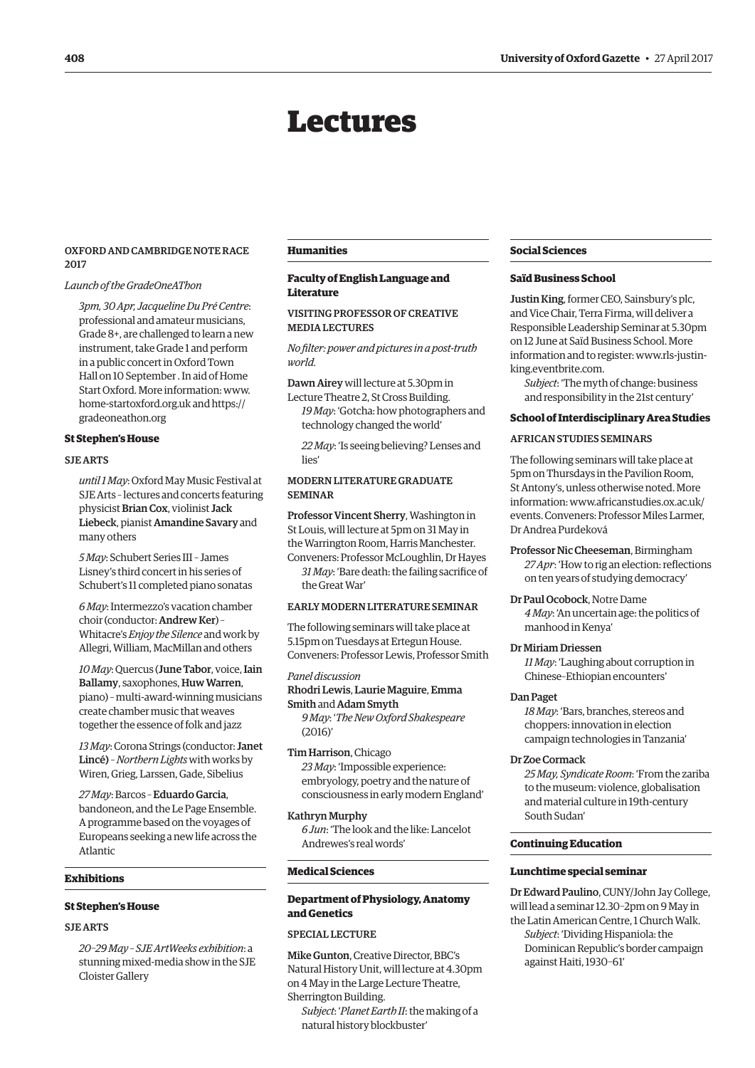# Lectures

# <span id="page-5-0"></span>OXFORD AND CAMBRIDGE NOTE RACE 2017

# *Launch of the GradeOneAThon*

*3pm, 30 Apr, Jacqueline Du Pré Centre*: professional and amateur musicians, Grade 8+, are challenged to learn a new instrument, take Grade 1 and perform in a public concert in Oxford Town Hall on 10 September . In aid of Home Start Oxford. More information: www. [home-startoxford.org.uk](http://www.home-startoxford.org.uk) and https:// [gradeoneathon.org](https://gradeoneathon.org) 

#### **St Stephen's House**

#### SJE ARTS

*until 1 May*: Oxford May Music Festival at SJE Arts – lectures and concerts featuring physicist Brian Cox, violinist Jack Liebeck, pianist Amandine Savary and many others

*5 May*: Schubert Series III – James Lisney's third concert in his series of Schubert's 11 completed piano sonatas

*6 May*: Intermezzo's vacation chamber choir (conductor: Andrew Ker) – Whitacre's *Enjoy the Silence* and work by Allegri, William, MacMillan and others

*10 May*: Quercus (June Tabor, voice, Iain Ballamy, saxophones, Huw Warren, piano) – multi-award-winning musicians create chamber music that weaves together the essence of folk and jazz

*13 May*: Corona Strings (conductor: Janet Lincé) – *Northern Lights* with works by Wiren, Grieg, Larssen, Gade, Sibelius

*27 May*: Barcos – Eduardo Garcia, bandoneon, and the Le Page Ensemble. A programme based on the voyages of Europeans seeking a new life across the Atlantic

# **Exhibitions**

# **St Stephen's House**

# SJE ARTS

*20–29 May – SJE ArtWeeks exhibition*: a stunning mixed-media show in the SJE Cloister Gallery

#### **Humanities**

# **Faculty of English Language and Literature**

# VISITING PROFESSOR OF CREATIVE MEDIA LECTURES

*No filter: power and pictures in a post-truth world.*

Dawn Airey will lecture at 5.30pm in

Lecture Theatre 2, St Cross Building. *19 May*: 'Gotcha: how photographers and technology changed the world'

*22 May*: 'Is seeing believing? Lenses and lies'

# MODERN LITERATURE GRADUATE SEMINAR

Professor Vincent Sherry, Washington in St Louis, will lecture at 5pm on 31 May in the Warrington Room, Harris Manchester. Conveners: Professor McLoughlin, Dr Hayes

*31 May*: 'Bare death: the failing sacrifice of the Great War'

# EARLY MODERN LITERATURE SEMINAR

The following seminars will take place at 5.15pm on Tuesdays at Ertegun House. Conveners: Professor Lewis, Professor Smith

# *Panel discussion*

Rhodri Lewis, Laurie Maguire, Emma Smith and Adam Smyth *9 May*: '*The New Oxford Shakespeare* (2016)'

Tim Harrison, Chicago *23 May*: 'Impossible experience: embryology, poetry and the nature of consciousness in early modern England'

# Kathryn Murphy

*6 Jun*: 'The look and the like: Lancelot Andrewes's real words'

#### **Medical Sciences**

# **Department of Physiology, Anatomy and Genetics**

# SPECIAL LECTURE

Mike Gunton, Creative Director, BBC's Natural History Unit, will lecture at 4.30pm on 4 May in the Large Lecture Theatre, Sherrington Building.

*Subject*: '*Planet Earth II*: the making of a natural history blockbuster'

# **Social Sciences**

#### **Saïd Business School**

Justin King, former CEO, Sainsbury's plc, and Vice Chair, Terra Firma, will deliver a Responsible Leadership Seminar at 5.30pm on 12 June at Saïd Business School. More [information and to register: www.rls-justin](http://www.rls-justin-king.eventbrite.com)king.eventbrite.com.

*Subject*: 'The myth of change: business and responsibility in the 21st century'

#### **School of Interdisciplinary Area Studies**

# AFRICAN STUDIES SEMINARS

The following seminars will take place at 5pm on Thursdays in the Pavilion Room, St Antony's, unless otherwise noted. More information: www.africanstudies.ox.ac.uk/ [events. Conveners: Professor Miles Larmer,](www.africanstudies.ox.ac.uk/events)  Dr Andrea Purdeková

Professor Nic Cheeseman, Birmingham *27 Apr*: 'How to rig an election: reflections on ten years of studying democracy'

Dr Paul Ocobock, Notre Dame

*4 May*: 'An uncertain age: the politics of manhood in Kenya'

# Dr Miriam Driessen

*11 May*: 'Laughing about corruption in Chinese–Ethiopian encounters'

#### Dan Paget

*18 May*: 'Bars, branches, stereos and choppers: innovation in election campaign technologies in Tanzania'

#### Dr Zoe Cormack

*25 May, Syndicate Room*: 'From the zariba to the museum: violence, globalisation and material culture in 19th-century South Sudan'

#### **Continuing Education**

#### **Lunchtime special seminar**

Dr Edward Paulino, CUNY/John Jay College, will lead a seminar 12.30–2pm on 9 May in the Latin American Centre, 1 Church Walk.

*Subject*: 'Dividing Hispaniola: the Dominican Republic's border campaign against Haiti, 1930–61'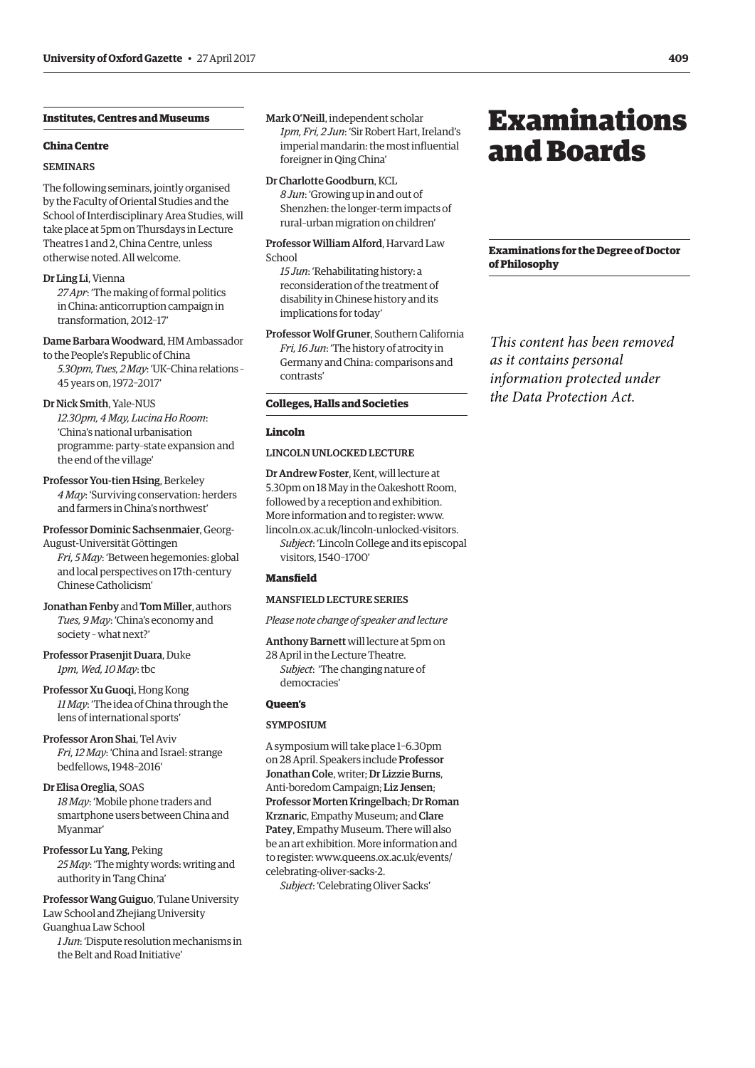# <span id="page-6-0"></span>**Institutes, Centres and Museums**

## **China Centre**

#### SEMINARS

The following seminars, jointly organised by the Faculty of Oriental Studies and the School of Interdisciplinary Area Studies, will take place at 5pm on Thursdays in Lecture Theatres 1 and 2, China Centre, unless otherwise noted. All welcome.

#### Dr Ling Li, Vienna

*27 Apr*: 'The making of formal politics in China: anticorruption campaign in transformation, 2012–17'

# Dame Barbara Woodward, HM Ambassador

to the People's Republic of China *5.30pm, Tues, 2 May*: 'UK–China relations – 45 years on, 1972–2017'

#### Dr Nick Smith, Yale-NUS

*12.30pm, 4 May, Lucina Ho Room*: 'China's national urbanisation programme: party–state expansion and the end of the village'

# Professor You-tien Hsing, Berkeley *4 May*: 'Surviving conservation: herders and farmers in China's northwest'

Professor Dominic Sachsenmaier, Georg-August-Universität Göttingen *Fri, 5 May*: 'Between hegemonies: global and local perspectives on 17th-century

Jonathan Fenby and Tom Miller, authors *Tues, 9 May*: 'China's economy and society – what next?'

Professor Prasenjit Duara, Duke *1pm, Wed, 10 May*: tbc

Chinese Catholicism'

Professor Xu Guoqi, Hong Kong *11 May*: 'The idea of China through the lens of international sports'

Professor Aron Shai, Tel Aviv *Fri, 12 May*: 'China and Israel: strange bedfellows, 1948–2016'

Dr Elisa Oreglia, SOAS *18 May*: 'Mobile phone traders and smartphone users between China and Myanmar'

Professor Lu Yang, Peking *25 May*: 'The mighty words: writing and authority in Tang China'

Professor Wang Guiguo, Tulane University Law School and Zhejiang University Guanghua Law School

*1 Jun*: 'Dispute resolution mechanisms in the Belt and Road Initiative'

Mark O'Neill, independent scholar *1pm, Fri, 2 Jun*: 'Sir Robert Hart, Ireland's imperial mandarin: the most influential foreigner in Qing China'

# Dr Charlotte Goodburn, KCL

*8 Jun*: 'Growing up in and out of Shenzhen: the longer-term impacts of rural–urban migration on children'

Professor William Alford, Harvard Law School

*15 Jun*: 'Rehabilitating history: a reconsideration of the treatment of disability in Chinese history and its implications for today'

Professor Wolf Gruner, Southern California *Fri, 16 Jun*: 'The history of atrocity in Germany and China: comparisons and contrasts'

#### **Colleges, Halls and Societies**

#### **Lincoln**

# LINCOLN UNLOCKED LECTURE

Dr Andrew Foster, Kent, will lecture at 5.30pm on 18 May in the Oakeshott Room, followed by a reception and exhibition. More information and to register: www. [lincoln.ox.ac.uk/lincoln-unlocked-visitors.](www.lincoln.ox.ac.uk/lincoln-unlocked-visitors) *Subject*: 'Lincoln College and its episcopal visitors, 1540–1700'

# **Mansfield**

# MANSFIELD LECTURE SERIES

*Please note change of speaker and lecture*

Anthony Barnett will lecture at 5pm on

28 April in the Lecture Theatre. *Subject*: 'The changing nature of democracies'

# **Queen's**

# **SYMPOSIUM**

A symposium will take place 1–6.30pm on 28 April. Speakers include Professor Jonathan Cole, writer; Dr Lizzie Burns, Anti-boredom Campaign; Liz Jensen; Professor Morten Kringelbach; Dr Roman Krznaric, Empathy Museum; and Clare Patey, Empathy Museum. There will also be an art exhibition. More information and [to register: www.queens.ox.ac.uk/events/](www.queens.ox.ac.uk/events/celebrating-oliver-sacks-2) celebrating-oliver-sacks-2.

*Subject*: 'Celebrating Oliver Sacks'

# Examinations and Boards

**Examinations for the Degree of Doctor of Philosophy**

*This content has been removed as it contains personal information protected under the Data Protection Act.*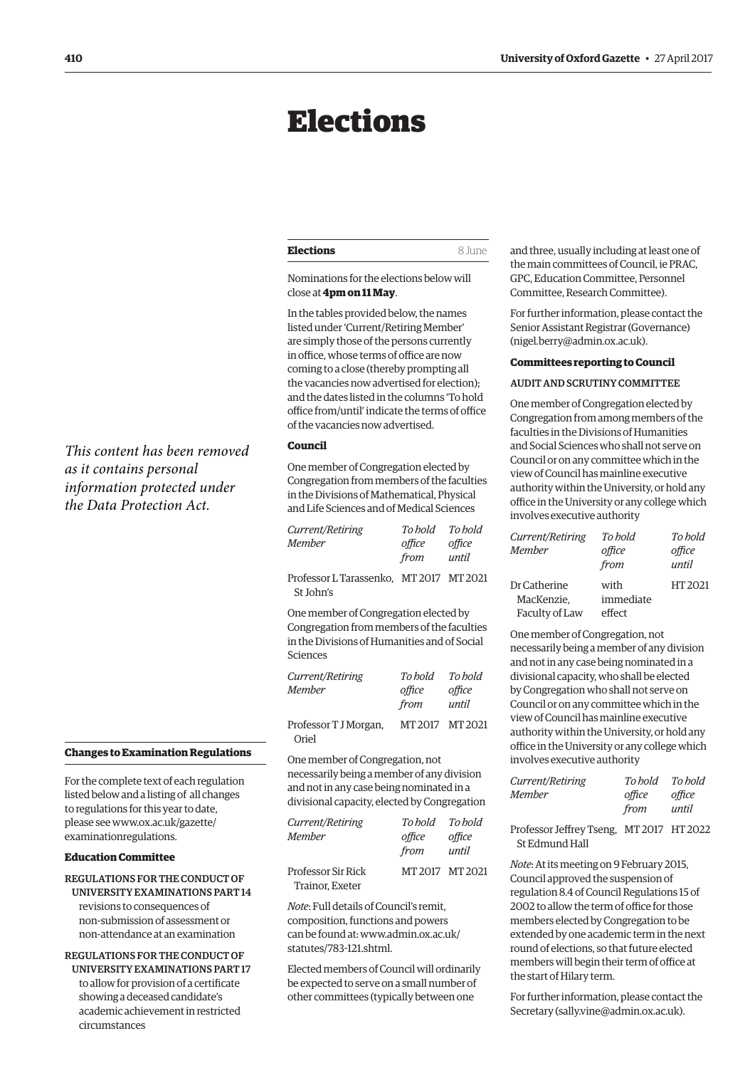# <span id="page-7-0"></span>Elections

| <b>Elections</b><br>8 June |
|----------------------------|
|----------------------------|

Nominations for the elections below will close at **4pm on 11 May**.

In the tables provided below, the names listed under 'Current/Retiring Member' are simply those of the persons currently in office, whose terms of office are now coming to a close (thereby prompting all the vacancies now advertised for election); and the dates listed in the columns 'To hold office from/until' indicate the terms of office of the vacancies now advertised.

# **Council**

One member of Congregation elected by Congregation from members of the faculties in the Divisions of Mathematical, Physical and Life Sciences and of Medical Sciences

| Current/Retiring                                     | To hold | To hold |
|------------------------------------------------------|---------|---------|
| Member                                               | office  | office  |
|                                                      | from    | until   |
| Professor L Tarassenko, MT 2017 MT 2021<br>St John's |         |         |
| One member of Congregation elected by                |         |         |
| Congregation from members of the faculties           |         |         |

Congregation from members of the faculties in the Divisions of Humanities and of Social Sciences

| Current/Retiring<br><b>Member</b> | To bold<br>office<br>from | To hold<br>office<br>until |
|-----------------------------------|---------------------------|----------------------------|
| Professor T J Morgan,<br>Oriel    | MT2017 MT2021             |                            |

One member of Congregation, not necessarily being a member of any division and not in any case being nominated in a divisional capacity, elected by Congregation

| Current/Retiring<br><b>Member</b>     | To bold<br>office | To hold<br>office |
|---------------------------------------|-------------------|-------------------|
|                                       | from              | until             |
| Professor Sir Rick<br>Trainor, Exeter | MT 2017 MT 2021   |                   |

*Note*: Full details of Council's remit, composition, functions and powers [can be found at: www.admin.ox.ac.uk/](www.admin.ox.ac.uk/statutes/783-121.shtml) statutes/783-121.shtml.

Elected members of Council will ordinarily be expected to serve on a small number of other committees (typically between one

and three, usually including at least one of the main committees of Council, ie PRAC, GPC, Education Committee, Personnel Committee, Research Committee).

For further information, please contact the Senior Assistant Registrar (Governance) [\(nigel.berry@admin.ox.ac.uk\).](mailto:nigel.berry@admin.ox.ac.uk)

#### **Committees reporting to Council**

#### AUDIT AND SCRUTINY COMMITTEE

One member of Congregation elected by Congregation from among members of the faculties in the Divisions of Humanities and Social Sciences who shall not serve on Council or on any committee which in the view of Council has mainline executive authority within the University, or hold any office in the University or any college which involves executive authority

| Current/Retiring<br>Member | To hold<br>office<br>from | To bold<br>office<br>until |
|----------------------------|---------------------------|----------------------------|
| Dr Catherine               | with                      | HT 2021                    |
| MacKenzie.                 | immediate                 |                            |
| Faculty of Law             | effect                    |                            |

One member of Congregation, not necessarily being a member of any division and not in any case being nominated in a divisional capacity, who shall be elected by Congregation who shall not serve on Council or on any committee which in the view of Council has mainline executive authority within the University, or hold any office in the University or any college which involves executive authority

|                  | from    | until   |
|------------------|---------|---------|
| Member           | office  | office  |
| Current/Retiring | To bold | To hold |
|                  |         |         |

Professor Jeffrey Tseng, MT 2017 HT 2022 St Edmund Hall

*Note*: At its meeting on 9 February 2015, Council approved the suspension of regulation 8.4 of Council Regulations 15 of 2002 to allow the term of office for those members elected by Congregation to be extended by one academic term in the next round of elections, so that future elected members will begin their term of office at the start of Hilary term.

For further information, please contact the Secretary ([sally.vine@admin.ox.ac.uk\).](mailto:sally.vine@admin.ox.ac.uk)

*This content has been removed as it contains personal information protected under the Data Protection Act.*

# **Changes to Examination Regulations**

For the complete text of each regulation listed below and a listing of all changes to regulations for this year to date, please see [www.ox.ac.uk/gazette/](http://www.ox.ac.uk/gazette/) examinationregulations.

# **Education Committee**

# REGULATIONS FOR THE CONDUCT OF UNIVERSITY EXAMINATIONS PART 14

revisions to consequences of non-submission of assessment or non-attendance at an examination

REGULATIONS FOR THE CONDUCT OF UNIVERSITY EXAMINATIONS PART 17 to allow for provision of a certificate showing a deceased candidate's academic achievement in restricted circumstances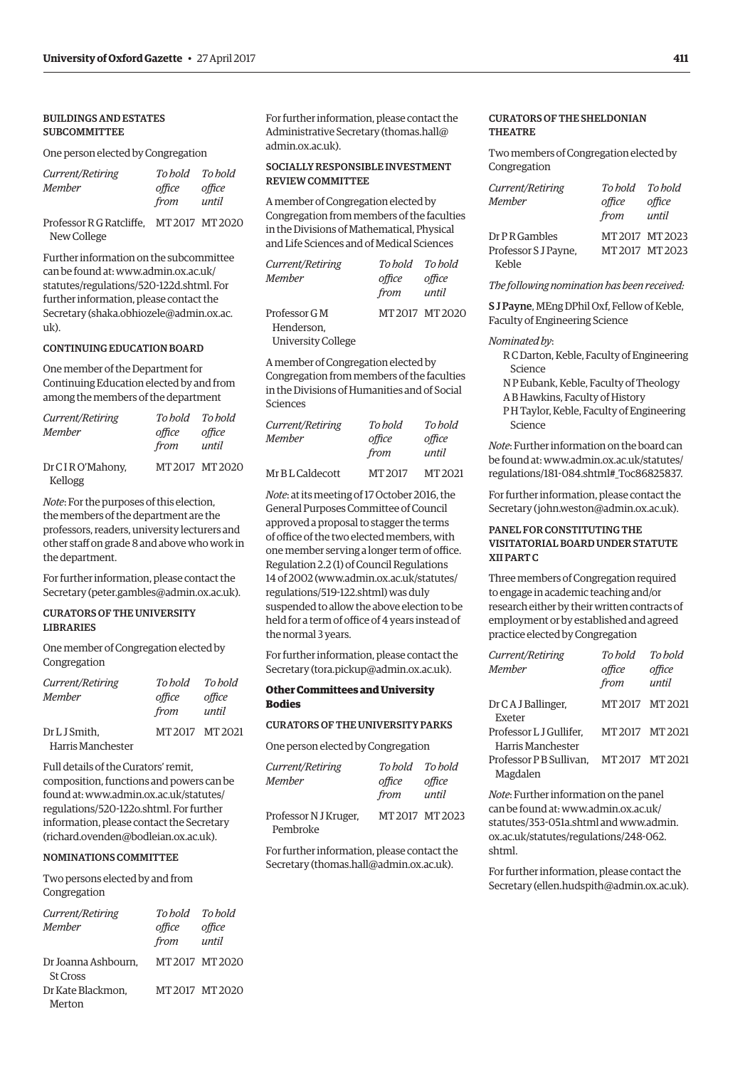# BUILDINGS AND ESTATES SUBCOMMITTEE

#### One person elected by Congregation

| Current/Retiring |        | To hold To hold |
|------------------|--------|-----------------|
| Member           | office | office          |
|                  | from   | until           |

Professor R G Ratcliffe, MT 2017 MT 2020 New College

Further information on the subcommittee can be found at: www.admin.ox.ac.uk/ [statutes/regulations/520-122d.shtml. For](www.admin.ox.ac.uk/statutes/regulations/520-122d.shtml)  further information, please contact the [Secretary \(shaka.obhiozele@admin.ox.ac.](mailto:shaka.obhiozele@admin.ox.ac.uk) uk).

#### CONTINUING EDUCATION BOARD

One member of the Department for Continuing Education elected by and from among the members of the department

| Current/Retiring | To hold To hold |                 |
|------------------|-----------------|-----------------|
| Member           | office          | office          |
|                  | from            | until           |
| Dr CIRO'Mahony,  |                 | MT 2017 MT 2020 |
| Kellogg          |                 |                 |

*Note*: For the purposes of this election, the members of the department are the professors, readers, university lecturers and other staff on grade 8 and above who work in the department.

For further information, please contact the Secretary [\(peter.gambles@admin.ox.ac.uk\).](mailto:peter.gambles@admin.ox.ac.uk)

# CURATORS OF THE UNIVERSITY LIBRARIES

One member of Congregation elected by Congregation

| Current/Retiring  | To hold | To hold         |
|-------------------|---------|-----------------|
| <b>Member</b>     | office  | office          |
|                   | from    | until           |
| Dr L J Smith,     |         | MT 2017 MT 2021 |
| Harris Manchester |         |                 |

Full details of the Curators' remit, composition, functions and powers can be [found at: www.admin.ox.ac.uk/statutes/](www.admin.ox.ac.uk/statutes/regulations/520-122o.shtml) regulations/520-122o.shtml. For further information, please contact the Secretary ([richard.ovenden@bodleian.ox.ac.uk\).](mailto:richard.ovenden@bodleian.ox.ac.uk)

#### NOMINATIONS COMMITTEE

Two persons elected by and from Congregation

| Current/Retiring                       | To hold To hold |                 |
|----------------------------------------|-----------------|-----------------|
| Member                                 | office          | office          |
|                                        | from            | until           |
| Dr Joanna Ashbourn,<br><b>St Cross</b> |                 | MT 2017 MT 2020 |
| Dr Kate Blackmon,                      |                 | MT2017 MT2020   |
| Merton                                 |                 |                 |

For further information, please contact the Administrative Secretary [\(thomas.hall@](mailto:thomas.hall@admin.ox.ac.uk) [admin.ox.ac.uk\).](mailto:thomas.hall@admin.ox.ac.uk)

# SOCIALLY RESPONSIBLE INVESTMENT REVIEW COMMITTEE

A member of Congregation elected by Congregation from members of the faculties in the Divisions of Mathematical, Physical and Life Sciences and of Medical Sciences

| <i>Current/Retiring</i>   | To hold To hold |                 |
|---------------------------|-----------------|-----------------|
| Member                    | office          | office          |
|                           | from            | until           |
| Professor G M             |                 | MT 2017 MT 2020 |
| Henderson.                |                 |                 |
| <b>University College</b> |                 |                 |

A member of Congregation elected by Congregation from members of the faculties in the Divisions of Humanities and of Social Sciences

| Current/Retiring | To hold | To hold |
|------------------|---------|---------|
| <b>Member</b>    | office  | office  |
|                  | from    | until   |
| Mr B L Caldecott | MT 2017 | MT 2021 |

*Note*: at its meeting of 17 October 2016, the General Purposes Committee of Council approved a proposal to stagger the terms of office of the two elected members, with one member serving a longer term of office. Regulation 2.2 (1) of Council Regulations [14 of 2002 \(www.admin.ox.ac.uk/statutes/](www.admin.ox.ac.uk/statutes/regulations/519-122.shtml) regulations/519-122.shtml) was duly suspended to allow the above election to be held for a term of office of 4 years instead of the normal 3 years.

For further information, please contact the Secretary ([tora.pickup@admin.ox.ac.uk\).](mailto:tora.pickup@admin.ox.ac.uk)

#### **Other Committees and University Bodies**

#### CURATORS OF THE UNIVERSITY PARKS

One person elected by Congregation

| Current/Retiring<br>Member        | To hold To hold<br>office<br>from | office<br>until |
|-----------------------------------|-----------------------------------|-----------------|
| Professor N J Kruger,<br>Pembroke |                                   | MT 2017 MT 2023 |

For further information, please contact the Secretary ([thomas.hall@admin.ox.ac.uk\).](mailto:thomas.hall@admin.ox.ac.uk)

# CURATORS OF THE SHELDONIAN THEATRE

Two members of Congregation elected by Congregation

| Current/Retiring     | To bold | To hold         |
|----------------------|---------|-----------------|
| <b>Member</b>        | office  | office          |
|                      | from    | until           |
| Dr P R Gambles       |         | MT 2017 MT 2023 |
| Professor S J Payne, |         | MT2017 MT2023   |
| Keble                |         |                 |

*The following nomination has been received:*

S J Payne, MEng DPhil Oxf, Fellow of Keble, Faculty of Engineering Science

#### *Nominated by*:

- R C Darton, Keble, Faculty of Engineering Science
- N P Eubank, Keble, Faculty of Theology
- A B Hawkins, Faculty of History
- P H Taylor, Keble, Faculty of Engineering Science

*Note*: Further information on the board can [be found at: www.admin.ox.ac.uk/statutes/](www.admin.ox.ac.uk/statutes/regulations/181-084.shtml#_Toc86825837) regulations/181-084.shtml#\_Toc86825837.

For further information, please contact the Secretary ([john.weston@admin.ox.ac.uk\).](mailto:john.weston@admin.ox.ac.uk)

# PANEL FOR CONSTITUTING THE VISITATORIAL BOARD UNDER STATUTE XII PART C

Three members of Congregation required to engage in academic teaching and/or research either by their written contracts of employment or by established and agreed practice elected by Congregation

| Current/Retiring<br>Member                         | To hold<br>office<br>from | To hold<br>office<br>until |
|----------------------------------------------------|---------------------------|----------------------------|
| Dr CA J Ballinger,<br>Exeter                       | MT2017 MT2021             |                            |
| Professor L J Gullifer,<br>Harris Manchester       | MT2017 MT2021             |                            |
| Professor PB Sullivan, MT 2017 MT 2021<br>Magdalen |                           |                            |

*Note*: Further information on the panel can be found at: www.admin.ox.ac.uk/ [statutes/353-051a.shtml a](www.admin.ox.ac.uk/statutes/353-051a.shtml)nd www.admin. [ox.ac.uk/statutes/regulations/248-062.](www.admin.ox.ac.uk/statutes/regulations/248-062.shtml) shtml.

For further information, please contact the Secretary ([ellen.hudspith@admin.ox.ac.uk\).](mailto:ellen.hudspith@admin.ox.ac.uk)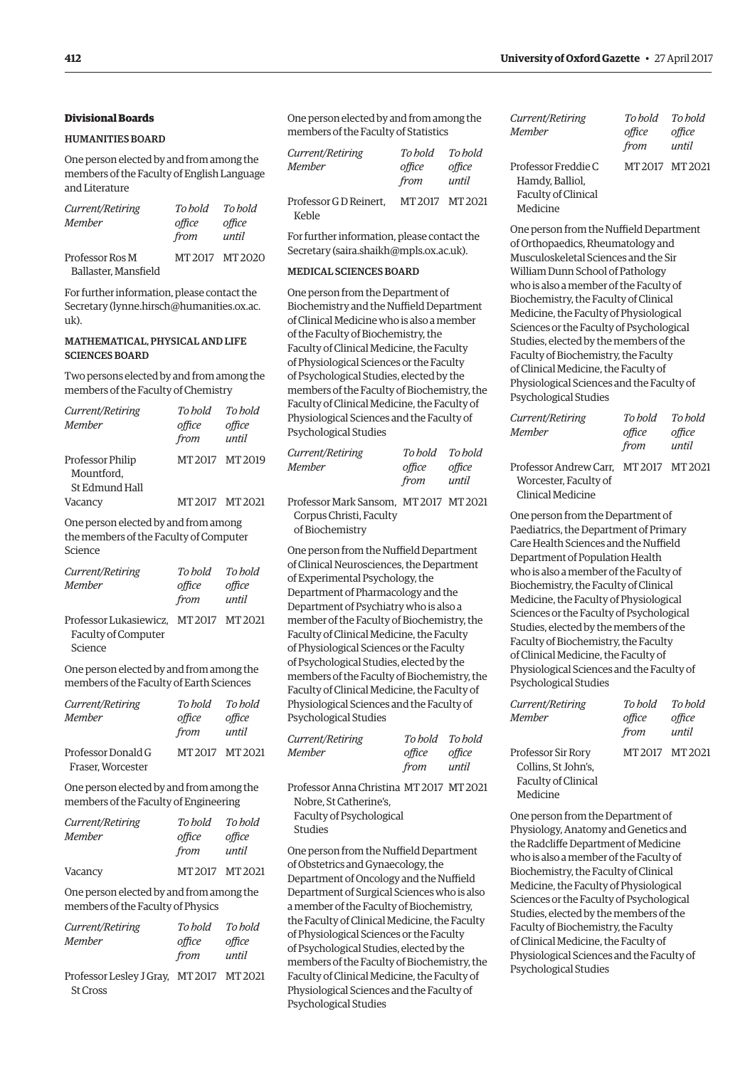# **Divisional Boards**

# HUMANITIES BOARD

One person elected by and from among the members of the Faculty of English Language and Literature

| Current/Retiring<br><b>Member</b>       | To bold<br>office<br>from | To hold<br>office<br>until |
|-----------------------------------------|---------------------------|----------------------------|
| Professor Ros M<br>Ballaster, Mansfield |                           | MT 2017 MT 2020            |

For further information, please contact the Secretary [\(lynne.hirsch@humanities.ox.ac.](mailto:lynne.hirsch@humanities.ox.ac.uk) [uk\).](mailto:lynne.hirsch@humanities.ox.ac.uk)

# MATHEMATICAL, PHYSICAL AND LIFE SCIENCES BOARD

Two persons elected by and from among the members of the Faculty of Chemistry

| Current/Retiring               | To hold         | To hold         |
|--------------------------------|-----------------|-----------------|
| Member                         | office          | office          |
|                                | from            | until           |
| Professor Philip<br>Mountford. |                 | MT 2017 MT 2019 |
| St Edmund Hall<br>Vacancy      | MT 2017 MT 2021 |                 |
|                                |                 |                 |

One person elected by and from among the members of the Faculty of Computer Science

| Current/Retiring<br>Member                                    | To hold<br>office<br>from | To hold<br>office<br>until |
|---------------------------------------------------------------|---------------------------|----------------------------|
| Professor Lukasiewicz. MT 2017 MT 2021<br>Faculty of Computer |                           |                            |

Science

One person elected by and from among the members of the Faculty of Earth Sciences

| <i>Current/Retiring</i><br>Member | To bold<br>office<br>from | To hold<br>office<br>until |
|-----------------------------------|---------------------------|----------------------------|
| Professor Donald G                | MT 2017 MT 2021           |                            |
| Fraser, Worcester                 |                           |                            |

One person elected by and from among the members of the Faculty of Engineering

| Current/Retiring | To bold        | To bold         |
|------------------|----------------|-----------------|
| Member           | office<br>from | office<br>until |
| Vacancy          | MT2017 MT2021  |                 |

One person elected by and from among the members of the Faculty of Physics

| <i>Current/Retiring</i> | To hold | To hold |
|-------------------------|---------|---------|
| Member                  | office  | office  |
|                         | from    | until   |

Professor Lesley J Gray, MT 2017 MT 2021 St Cross

One person elected by and from among the members of the Faculty of Statistics

| Current/Retiring                | To bold         | To hold |
|---------------------------------|-----------------|---------|
| <b>Member</b>                   | office          | office  |
|                                 | from            | until   |
| Professor G D Reinert.<br>Keble | MT 2017 MT 2021 |         |

For further information, please contact the Secretary ([saira.shaikh@mpls.ox.ac.uk\).](mailto:saira.shaikh@mpls.ox.ac.uk)

#### MEDICAL SCIENCES BOARD

One person from the Department of Biochemistry and the Nuffield Department of Clinical Medicine who is also a member of the Faculty of Biochemistry, the Faculty of Clinical Medicine, the Faculty of Physiological Sciences or the Faculty of Psychological Studies, elected by the members of the Faculty of Biochemistry, the Faculty of Clinical Medicine, the Faculty of Physiological Sciences and the Faculty of Psychological Studies

| Current/Retiring | To hold To hold |        |
|------------------|-----------------|--------|
| Member           | office          | office |
|                  | from            | until  |

Professor Mark Sansom, MT 2017 MT 2021 Corpus Christi, Faculty of Biochemistry

One person from the Nuffield Department of Clinical Neurosciences, the Department of Experimental Psychology, the Department of Pharmacology and the Department of Psychiatry who is also a member of the Faculty of Biochemistry, the Faculty of Clinical Medicine, the Faculty of Physiological Sciences or the Faculty of Psychological Studies, elected by the members of the Faculty of Biochemistry, the Faculty of Clinical Medicine, the Faculty of Physiological Sciences and the Faculty of Psychological Studies

| <i>Current/Retiring</i> | To hold To hold |        |
|-------------------------|-----------------|--------|
| Member                  | office          | office |
|                         | from            | until  |

Professor Anna Christina MT 2017 MT 2021 Nobre, St Catherine's, Faculty of Psychological

Studies

One person from the Nuffield Department of Obstetrics and Gynaecology, the Department of Oncology and the Nuffield Department of Surgical Sciences who is also a member of the Faculty of Biochemistry, the Faculty of Clinical Medicine, the Faculty of Physiological Sciences or the Faculty of Psychological Studies, elected by the members of the Faculty of Biochemistry, the Faculty of Clinical Medicine, the Faculty of Physiological Sciences and the Faculty of Psychological Studies

| Current/Retiring<br>Member                                                | To hold<br>office<br>from | To hold<br>office<br>until |
|---------------------------------------------------------------------------|---------------------------|----------------------------|
| Professor Freddie C<br>Hamdy, Balliol,<br>Faculty of Clinical<br>Medicine |                           | MT 2017 MT 2021            |

One person from the Nuffield Department of Orthopaedics, Rheumatology and Musculoskeletal Sciences and the Sir William Dunn School of Pathology who is also a member of the Faculty of Biochemistry, the Faculty of Clinical Medicine, the Faculty of Physiological Sciences or the Faculty of Psychological Studies, elected by the members of the Faculty of Biochemistry, the Faculty of Clinical Medicine, the Faculty of Physiological Sciences and the Faculty of Psychological Studies

| Current/Retiring                                               | To hold        | To hold         |
|----------------------------------------------------------------|----------------|-----------------|
| Member                                                         | office<br>from | office<br>until |
| Professor Andrew Carr. MT 2017 MT 2021<br>Morgartor Exculturef |                |                 |

 Worcester, Faculty of Clinical Medicine

One person from the Department of Paediatrics, the Department of Primary Care Health Sciences and the Nuffield Department of Population Health who is also a member of the Faculty of Biochemistry, the Faculty of Clinical Medicine, the Faculty of Physiological Sciences or the Faculty of Psychological Studies, elected by the members of the Faculty of Biochemistry, the Faculty of Clinical Medicine, the Faculty of Physiological Sciences and the Faculty of Psychological Studies

| Current/Retiring<br><b>Member</b> | To hold<br>office<br>from | To hold<br>office<br>until |
|-----------------------------------|---------------------------|----------------------------|
| Professor Sir Rory                | MT2017 MT2021             |                            |
| Collins. St John's.               |                           |                            |
| Faculty of Clinical               |                           |                            |
| Medicine                          |                           |                            |

One person from the Department of Physiology, Anatomy and Genetics and the Radcliffe Department of Medicine who is also a member of the Faculty of Biochemistry, the Faculty of Clinical Medicine, the Faculty of Physiological Sciences or the Faculty of Psychological Studies, elected by the members of the Faculty of Biochemistry, the Faculty of Clinical Medicine, the Faculty of Physiological Sciences and the Faculty of Psychological Studies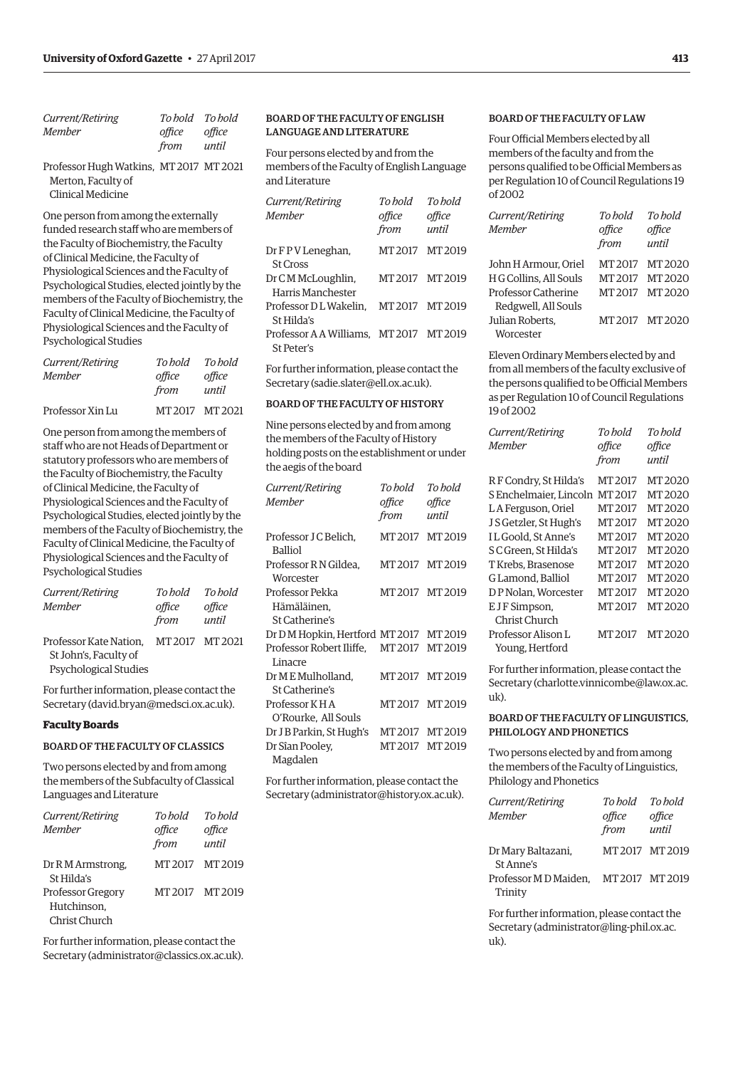| <i>Current/Retiring</i> | To hold To hold |        |
|-------------------------|-----------------|--------|
| Member                  | office          | office |
|                         | from            | until  |

Professor Hugh Watkins, MT 2017 MT 2021 Merton, Faculty of Clinical Medicine

One person from among the externally funded research staff who are members of the Faculty of Biochemistry, the Faculty of Clinical Medicine, the Faculty of Physiological Sciences and the Faculty of Psychological Studies, elected jointly by the members of the Faculty of Biochemistry, the Faculty of Clinical Medicine, the Faculty of Physiological Sciences and the Faculty of Psychological Studies

| Current/Retiring | To hold | To hold         |
|------------------|---------|-----------------|
| Member           | office  | office          |
|                  | from    | until           |
| Professor Xin Lu |         | MT 2017 MT 2021 |

One person from among the members of staff who are not Heads of Department or statutory professors who are members of the Faculty of Biochemistry, the Faculty of Clinical Medicine, the Faculty of Physiological Sciences and the Faculty of Psychological Studies, elected jointly by the members of the Faculty of Biochemistry, the Faculty of Clinical Medicine, the Faculty of Physiological Sciences and the Faculty of Psychological Studies

| Current/Retiring       | To hold       | To hold |
|------------------------|---------------|---------|
| Member                 | office        | office  |
|                        | from          | until   |
| Professor Kate Nation. | MT2017 MT2021 |         |
| St John's, Faculty of  |               |         |
| Psychological Studies  |               |         |

For further information, please contact the Secretary [\(david.bryan@medsci.ox.ac.uk\).](mailto:david.bryan@medsci.ox.ac.uk)

#### **Faculty Boards**

# BOARD OF THE FACULTY OF CLASSICS

Two persons elected by and from among the members of the Subfaculty of Classical Languages and Literature

| Current/Retiring<br>Member | To hold<br>office<br>from | To hold<br>office<br>until |
|----------------------------|---------------------------|----------------------------|
|                            |                           |                            |
| Dr R M Armstrong,          | MT 2017                   | MT 2019                    |
| St Hilda's                 |                           |                            |
| <b>Professor Gregory</b>   | MT 2017                   | MT 2019                    |
| Hutchinson.                |                           |                            |
| Christ Church              |                           |                            |

For further information, please contact the Secretary [\(administrator@classics.ox.ac.uk\).](mailto:administrator@classics.ox.ac.uk)

# BOARD OF THE FACULTY OF ENGLISH LANGUAGE AND LITERATURE

Four persons elected by and from the members of the Faculty of English Language and Literature

| Current/Retiring                                      | To hold         | To hold         |
|-------------------------------------------------------|-----------------|-----------------|
| Member                                                | office<br>from  | office<br>until |
| Dr F P V Leneghan,<br><b>St Cross</b>                 | MT 2017 MT 2019 |                 |
| Dr CM McLoughlin,<br>Harris Manchester                | MT 2017 MT 2019 |                 |
| Professor D L Wakelin,<br>St Hilda's                  | MT 2017 MT 2019 |                 |
| Professor A A Williams, MT 2017 MT 2019<br>St Peter's |                 |                 |

For further information, please contact the Secretary ([sadie.slater@ell.ox.ac.uk\).](mailto:sadie.slater@ell.ox.ac.uk)

# BOARD OF THE FACULTY OF HISTORY

Nine persons elected by and from among the members of the Faculty of History holding posts on the establishment or under the aegis of the board

| Current/Retiring<br>Member                          | To hold<br>office<br>from | To bold<br>office<br>until |
|-----------------------------------------------------|---------------------------|----------------------------|
| Professor J C Belich.<br><b>Balliol</b>             | MT 2017 MT 2019           |                            |
| Professor R N Gildea.<br>Worcester                  | MT 2017 MT 2019           |                            |
| Professor Pekka<br>Hämäläinen.<br>St Catherine's    | MT 2017 MT 2019           |                            |
| Dr D M Hopkin, Hertford MT 2017 MT 2019             |                           |                            |
| Professor Robert Iliffe, MT 2017 MT 2019<br>Linacre |                           |                            |
| Dr M E Mulholland.<br>St Catherine's                | MT 2017 MT 2019           |                            |
| Professor K H A<br>O'Rourke, All Souls              | MT 2017 MT 2019           |                            |
| Dr J B Parkin, St Hugh's                            | MT 2017 MT 2019           |                            |
| Dr Sîan Pooley,<br>Magdalen                         | MT 2017 MT 2019           |                            |

For further information, please contact the Secretary ([administrator@history.ox.ac.uk\).](mailto:administrator@history.ox.ac.uk)

# BOARD OF THE FACULTY OF LAW

Four Official Members elected by all members of the faculty and from the persons qualified to be Official Members as per Regulation 10 of Council Regulations 19 of 2002

| Current/Retiring<br><b>Member</b> | To hold<br>office<br>from | To hold<br>office<br>until |
|-----------------------------------|---------------------------|----------------------------|
| John H Armour. Oriel              | MT 2017                   | MT 2020                    |
| H G Collins, All Souls            | MT 2017                   | MT 2020                    |
| Professor Catherine               | MT 2017                   | MT 2020                    |
| Redgwell, All Souls               |                           |                            |
| Julian Roberts.                   |                           | MT2017 MT2020              |
| Worcester                         |                           |                            |

Eleven Ordinary Members elected by and from all members of the faculty exclusive of the persons qualified to be Official Members as per Regulation 10 of Council Regulations 19 of 2002

| Current/Retiring       | To bold | To bold |
|------------------------|---------|---------|
| Member                 | office  | office  |
|                        | from    | until   |
| RF Condry, St Hilda's  | MT 2017 | MT 2020 |
| S Enchelmaier, Lincoln | MT 2017 | MT 2020 |
| LA Ferguson, Oriel     | MT 2017 | MT 2020 |
| J S Getzler, St Hugh's | MT 2017 | MT 2020 |
| IL Goold. St Anne's    | MT2017  | MT 2020 |
| S C Green. St Hilda's  | MT 2017 | MT 2020 |
| T Krebs. Brasenose     | MT 2017 | MT 2020 |
| G Lamond. Balliol      | MT 2017 | MT 2020 |
| DP Nolan. Worcester    | MT 2017 | MT 2020 |
| E J F Simpson,         | MT 2017 | MT 2020 |
| Christ Church          |         |         |
| Professor Alison L     | MT 2017 | MT 2020 |
| Young, Hertford        |         |         |

For further information, please contact the Secretary ([charlotte.vinnicombe@law.ox.ac.](mailto:charlotte.vinnicombe@law.ox.ac.uk) [uk\).](mailto:charlotte.vinnicombe@law.ox.ac.uk)

# BOARD OF THE FACULTY OF LINGUISTICS, PHILOLOGY AND PHONETICS

Two persons elected by and from among the members of the Faculty of Linguistics, Philology and Phonetics

| Current/Retiring                                | To hold | To hold       |
|-------------------------------------------------|---------|---------------|
| Member                                          | office  | office        |
|                                                 | from    | until         |
| Dr Mary Baltazani,<br>St Anne's                 |         | MT2017 MT2019 |
| Professor MD Maiden. MT 2017 MT 2019<br>Trinity |         |               |

For further information, please contact the Secretary ([administrator@ling-phil.ox.ac.](mailto:administrator@ling-phil.ox.ac.uk) [uk\).](mailto:administrator@ling-phil.ox.ac.uk)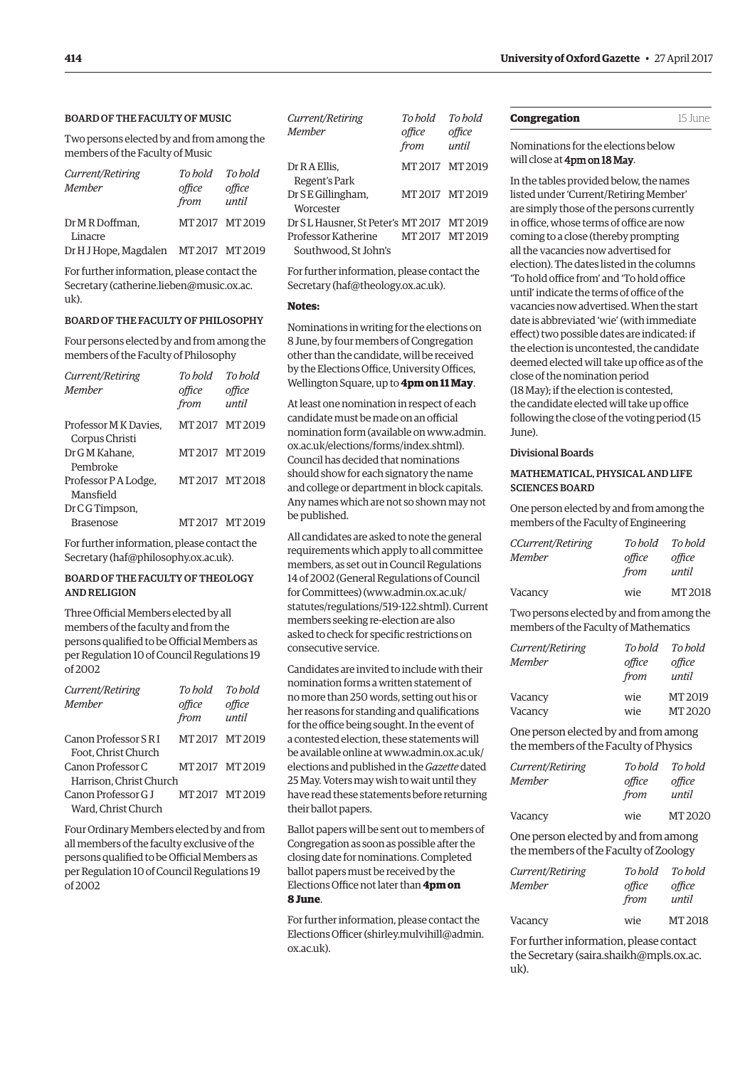# <span id="page-11-0"></span>BOARD OF THE FACULTY OF MUSIC

Two persons elected by and from among the members of the Faculty of Music

| Current/Retiring<br><b>Member</b>     | To bold<br>office<br>from | To hold<br>office<br>until |
|---------------------------------------|---------------------------|----------------------------|
| Dr M R Doffman.<br>Linacre            |                           | MT2017 MT2019              |
| Dr H J Hope, Magdalen MT 2017 MT 2019 |                           |                            |

For further information, please contact the Secretary [\(catherine.lieben@music.ox.ac.](mailto:catherine.lieben@music.ox.ac.uk) [uk\).](mailto:catherine.lieben@music.ox.ac.uk)

#### BOARD OF THE FACULTY OF PHILOSOPHY

Four persons elected by and from among the members of the Faculty of Philosophy

| Current/Retiring<br>Member             | To hold<br>office<br>from | To hold<br>office<br>until |
|----------------------------------------|---------------------------|----------------------------|
| Professor MK Davies.<br>Corpus Christi | MT2017 MT2019             |                            |
| Dr G M Kahane,<br>Pembroke             | MT 2017 MT 2019           |                            |
| Professor P A Lodge,<br>Mansfield      | MT2017 MT2018             |                            |
| Dr C G Timpson,<br><b>Brasenose</b>    | MT 2017 MT 2019           |                            |

For further information, please contact the Secretary [\(haf@philosophy.ox.ac.uk\).](mailto:haf@philosophy.ox.ac.uk)

# BOARD OF THE FACULTY OF THEOLOGY AND RELIGION

Three Official Members elected by all members of the faculty and from the persons qualified to be Official Members as per Regulation 10 of Council Regulations 19 of 2002

| Current/Retiring        | To hold        | To hold         |
|-------------------------|----------------|-----------------|
| <b>Member</b>           | office<br>from | office<br>until |
|                         |                |                 |
| Canon Professor S R I   |                | MT 2017 MT 2019 |
| Foot, Christ Church     |                |                 |
| Canon Professor C       |                | MT 2017 MT 2019 |
| Harrison. Christ Church |                |                 |
| Canon Professor G J     |                | MT 2017 MT 2019 |
| Ward. Christ Church     |                |                 |

Four Ordinary Members elected by and from all members of the faculty exclusive of the persons qualified to be Official Members as per Regulation 10 of Council Regulations 19 of 2002

| Current/Retiring<br>Member                  | To hold<br>office<br>from | To hold<br>office<br>until |
|---------------------------------------------|---------------------------|----------------------------|
| Dr R A Ellis,<br>Regent's Park              | MT 2017 MT 2019           |                            |
| Dr S E Gillingham,<br>Worcester             | MT 2017 MT 2019           |                            |
| Dr SL Hausner. St Peter's MT 2017 MT 2019   |                           |                            |
| Professor Katherine<br>Southwood. St John's | MT 2017 MT 2019           |                            |

For further information, please contact the Secretary ([haf@theology.ox.ac.uk\).](mailto:haf@theology.ox.ac.uk)

# **Notes:**

Nominations in writing for the elections on 8 June, by four members of Congregation other than the candidate, will be received by the Elections Office, University Offices, Wellington Square, up to **4pm on 11 May**.

At least one nomination in respect of each candidate must be made on an official [nomination form \(available on www.admin.](www.admin.ox.ac.uk/elections/forms/index.shtml) ox.ac.uk/elections/forms/index.shtml). Council has decided that nominations should show for each signatory the name and college or department in block capitals. Any names which are not so shown may not be published.

All candidates are asked to note the general requirements which apply to all committee members, as set out in Council Regulations 14 of 2002 (General Regulations of Council for Committees) (www.admin.ox.ac.uk/ [statutes/regulations/519-122.shtml\). Current](www.admin.ox.ac.uk/statutes/regulations/519-122.shtml)  members seeking re-election are also asked to check for specific restrictions on consecutive service.

Candidates are invited to include with their nomination forms a written statement of no more than 250 words, setting out his or her reasons for standing and qualifications for the office being sought. In the event of a contested election, these statements will [be available online at www.admin.ox.ac.uk/](www.admin.ox.ac.uk/elections) elections and published in the *Gazette* dated 25 May. Voters may wish to wait until they have read these statements before returning their ballot papers.

Ballot papers will be sent out to members of Congregation as soon as possible after the closing date for nominations. Completed ballot papers must be received by the Elections Office not later than **4pm on 8 June**.

For further information, please contact the Elections Officer ([shirley.mulvihill@admin.](mailto:shirley.mulvihill@admin.ox.ac.uk) [ox.ac.uk\).](mailto:shirley.mulvihill@admin.ox.ac.uk) 

| Congregation | 15 June |
|--------------|---------|
|--------------|---------|

# Nominations for the elections below will close at 4pm on 18 May.

In the tables provided below, the names listed under 'Current/Retiring Member' are simply those of the persons currently in office, whose terms of office are now coming to a close (thereby prompting all the vacancies now advertised for election). The dates listed in the columns 'To hold office from' and 'To hold office until' indicate the terms of office of the vacancies now advertised. When the start date is abbreviated 'wie' (with immediate effect) two possible dates are indicated: if the election is uncontested, the candidate deemed elected will take up office as of the close of the nomination period (18 May); if the election is contested, the candidate elected will take up office following the close of the voting period (15  $I$ <sub>U</sub> $\rho$ )

#### Divisional Boards

# MATHEMATICAL, PHYSICAL AND LIFE SCIENCES BOARD

One person elected by and from among the members of the Faculty of Engineering

| <b>CCurrent/Retiring</b> | To bold | To hold |
|--------------------------|---------|---------|
| Member                   | office  | office  |
|                          | from    | until   |
| Vacancy                  | wie     | MT 2018 |

Two persons elected by and from among the members of the Faculty of Mathematics

| Current/Retiring<br><b>Member</b> | To bold<br>office<br>from | To hold<br>office<br>until |
|-----------------------------------|---------------------------|----------------------------|
| Vacancy                           | wie                       | MT 2019                    |
| Vacancy                           | wie                       | MT 2020                    |

One person elected by and from among the members of the Faculty of Physics

| Current/Retiring | To bold | To hold            |
|------------------|---------|--------------------|
| Member           | office  | office             |
|                  | from    | until              |
| Vacancy          | wie     | MT <sub>2020</sub> |

One person elected by and from among the members of the Faculty of Zoology

| Current/Retiring<br><b>Member</b> | To hold<br>office<br>from | To hold<br>office<br>until |
|-----------------------------------|---------------------------|----------------------------|
| Vacancy                           | wie                       | MT 2018                    |

For further information, please contact the Secretary ([saira.shaikh@mpls.ox.ac.](mailto:saira.shaikh@mpls.ox.ac.uk) [uk\).](mailto:saira.shaikh@mpls.ox.ac.uk)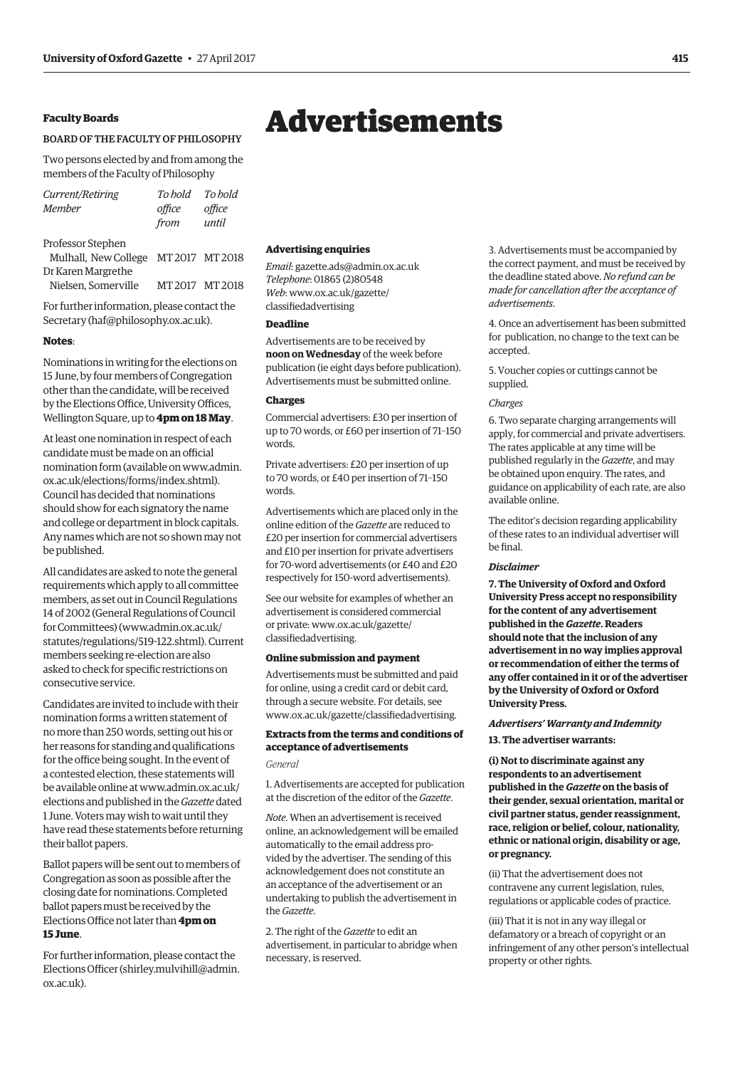# <span id="page-12-0"></span>**Faculty Boards**

#### BOARD OF THE FACULTY OF PHILOSOPHY

Two persons elected by and from among the members of the Faculty of Philosophy

| Current/Retiring                     | To hold       | To hold |
|--------------------------------------|---------------|---------|
| <b>Member</b>                        | office        | office  |
|                                      | from          | until   |
| Professor Stephen                    |               |         |
| Mulhall, New College MT 2017 MT 2018 |               |         |
| Dr Karen Margrethe                   |               |         |
| Nielsen. Somerville                  | MT2017 MT2018 |         |
|                                      |               |         |

For further information, please contact the Secretary [\(haf@philosophy.ox.ac.uk\).](mailto:haf@philosophy.ox.ac.uk)

#### **Notes**:

Nominations in writing for the elections on 15 June, by four members of Congregation other than the candidate, will be received by the Elections Office, University Offices, Wellington Square, up to **4pm on 18 May**.

At least one nomination in respect of each candidate must be made on an official [nomination form \(available on www.admin.](www.admin.ox.ac.uk/elections/forms/index.shtml) ox.ac.uk/elections/forms/index.shtml). Council has decided that nominations should show for each signatory the name and college or department in block capitals. Any names which are not so shown may not be published.

All candidates are asked to note the general requirements which apply to all committee members, as set out in Council Regulations 14 of 2002 (General Regulations of Council for Committees) [\(www.admin.ox.ac.uk/](http://www.admin.ox.ac.uk/statutes/regulations/519-122.shtml) [statutes/regulations/519-122.shtml\). Cu](http://www.admin.ox.ac.uk/statutes/regulations/519-122.shtml)rrent members seeking re-election are also asked to check for specific restrictions on consecutive service.

Candidates are invited to include with their nomination forms a written statement of no more than 250 words, setting out his or her reasons for standing and qualifications for the office being sought. In the event of a contested election, these statements will [be available online at www.admin.ox.ac.uk/](www.admin.ox.ac.uk/elections) elections and published in the *Gazette* dated 1 June. Voters may wish to wait until they have read these statements before returning their ballot papers.

Ballot papers will be sent out to members of Congregation as soon as possible after the closing date for nominations. Completed ballot papers must be received by the Elections Office not later than **4pm on 15 June**.

For further information, please contact the Elections Officer [\(shirley.mulvihill@admin.](mailto:shirley.mulvihill@admin.ox.ac.uk) [ox.ac.uk\).](mailto:shirley.mulvihill@admin.ox.ac.uk)

#### **Advertising enquiries**

*Email*: [gazette.ads@admin.ox.ac.uk](mailto:gazette.ads@admin.ox.ac.uk) *Telephone*: 01865 (2)80548 *Web*[: www.ox.ac.uk/gazette/](www.ox.ac.uk/gazette/classifiedadvertising) classifiedadvertising

# **Deadline**

Advertisements are to be received by **noon on Wednesday** of the week before publication (ie eight days before publication). Advertisements must be submitted online.

#### **Charges**

Commercial advertisers: £30 per insertion of up to 70 words, or £60 per insertion of 71–150 words.

Private advertisers: £20 per insertion of up to 70 words, or £40 per insertion of 71–150 words.

Advertisements which are placed only in the online edition of the *Gazette* are reduced to £20 per insertion for commercial advertisers and £10 per insertion for private advertisers for 70-word advertisements (or £40 and £20 respectively for 150-word advertisements).

See our website for examples of whether an advertisement is considered commercial [or private: www.ox.ac.uk/gazette/](www.ox.ac.uk/gazette/classifiedadvertising) classifiedadvertising.

# **Online submission and payment**

Advertisements must be submitted and paid for online, using a credit card or debit card, through a secure website. For details, see [www.ox.ac.uk/gazette/classifiedadvertising.](http://www.ox.ac.uk/gazette/classifiedadvertising)

# **Extracts from the terms and conditions of acceptance of advertisements**

# *General*

1. Advertisements are accepted for publication at the discretion of the editor of the *Gazette*.

*Note*. When an advertisement is received online, an acknowledgement will be emailed automatically to the email address provided by the advertiser. The sending of this acknowledgement does not constitute an an acceptance of the advertisement or an undertaking to publish the advertisement in the *Gazette*.

2. The right of the *Gazette* to edit an advertisement, in particular to abridge when necessary, is reserved.

3. Advertisements must be accompanied by the correct payment, and must be received by the deadline stated above. *No refund can be made for cancellation after the acceptance of advertisements*.

4. Once an advertisement has been submitted for publication, no change to the text can be accepted.

5. Voucher copies or cuttings cannot be supplied.

#### *Charges*

6. Two separate charging arrangements will apply, for commercial and private advertisers. The rates applicable at any time will be published regularly in the *Gazette*, and may be obtained upon enquiry. The rates, and guidance on applicability of each rate, are also available online.

The editor's decision regarding applicability of these rates to an individual advertiser will be final.

#### *Disclaimer*

**7. The University of Oxford and Oxford University Press accept no responsibility for the content of any advertisement published in the** *Gazette***. Readers should note that the inclusion of any advertisement in no way implies approval or recommendation of either the terms of any offer contained in it or of the advertiser by the University of Oxford or Oxford University Press.**

# *Advertisers' Warranty and Indemnity* **13. The advertiser warrants:**

**(i) Not to discriminate against any respondents to an advertisement published in the** *Gazette* **on the basis of their gender, sexual orientation, marital or civil partner status, gender reassignment, race, religion or belief, colour, nationality, ethnic or national origin, disability or age, or pregnancy.**

(ii) That the advertisement does not contravene any current legislation, rules, regulations or applicable codes of practice.

(iii) That it is not in any way illegal or defamatory or a breach of copyright or an infringement of any other person's intellectual property or other rights.

# Advertisements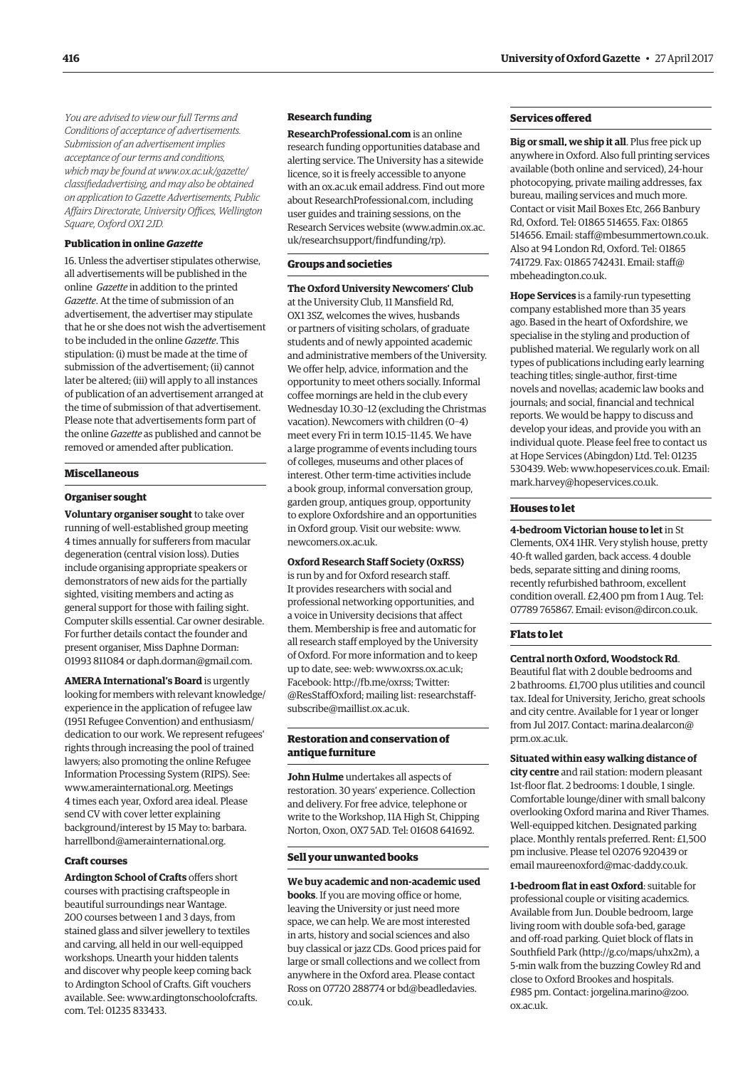*You are advised to view our full Terms and Conditions of acceptance of advertisements. Submission of an advertisement implies acceptance of our terms and conditions, which may be found at www.ox.ac.uk/gazette/ [classifiedadvertising, and may also be obtained](www.ox.ac.uk/gazette/classifiedadvertising)  on application to Gazette Advertisements, Public Affairs Directorate, University Offices, Wellington Square, Oxford OX1 2JD.*

#### **Publication in online** *Gazette*

16. Unless the advertiser stipulates otherwise, all advertisements will be published in the online *Gazette* in addition to the printed *Gazette*. At the time of submission of an advertisement, the advertiser may stipulate that he or she does not wish the advertisement to be included in the online *Gazette*. This stipulation: (i) must be made at the time of submission of the advertisement; (ii) cannot later be altered; (iii) will apply to all instances of publication of an advertisement arranged at the time of submission of that advertisement. Please note that advertisements form part of the online *Gazette* as published and cannot be removed or amended after publication.

#### **Miscellaneous**

#### **Organiser sought**

**Voluntary organiser sought** to take over running of well-established group meeting 4 times annually for sufferers from macular degeneration (central vision loss). Duties include organising appropriate speakers or demonstrators of new aids for the partially sighted, visiting members and acting as general support for those with failing sight. Computer skills essential. Car owner desirable. For further details contact the founder and present organiser, Miss Daphne Dorman: 01993 811084 or [daph.dorman@gmail.com.](mailto:daph.dorman@gmail.com)

**AMERA International's Board** is urgently looking for members with relevant knowledge/ experience in the application of refugee law (1951 Refugee Convention) and enthusiasm/ dedication to our work. We represent refugees' rights through increasing the pool of trained lawyers; also promoting the online Refugee Information Processing System (RIPS). See: [www.amerainternational.org. M](http://www.amerainternational.org)eetings 4 times each year, Oxford area ideal. Please send CV with cover letter explaining background/interest by 15 May to: barbara. [harrellbond@amerainternational.org.](mailto:harrellbond@amerainternational.org)

## **Craft courses**

**Ardington School of Crafts** offers short courses with practising craftspeople in beautiful surroundings near Wantage. 200 courses between 1 and 3 days, from stained glass and silver jewellery to textiles and carving, all held in our well-equipped workshops. Unearth your hidden talents and discover why people keep coming back to Ardington School of Crafts. Gift vouchers [available. See: www.ardingtonschoolofcrafts.](www.ardingtonschoolofcrafts.com) com. Tel: 01235 833433.

# **Research funding**

**[ResearchProfessional.com](http://www.researchprofessional.com)** is an online research funding opportunities database and alerting service. The University has a sitewide licence, so it is freely accessible to anyone with an ox.ac.uk email address. Find out more abou[t ResearchProfessional.com,](http://www.researchprofessional.com) including user guides and training sessions, on the Research Services website ([www.admin.ox.ac.](http://www.admin.ox.ac.uk/researchsupport/findfunding/rp) [uk/researchsupport/findfunding/rp\).](http://www.admin.ox.ac.uk/researchsupport/findfunding/rp)

#### **Groups and societies**

**The Oxford University Newcomers' Club** at the University Club, 11 Mansfield Rd, OX1 3SZ, welcomes the wives, husbands or partners of visiting scholars, of graduate students and of newly appointed academic and administrative members of the University. We offer help, advice, information and the opportunity to meet others socially. Informal coffee mornings are held in the club every Wednesday 10.30–12 (excluding the Christmas vacation). Newcomers with children (0–4) meet every Fri in term 10.15–11.45. We have a large programme of events including tours of colleges, museums and other places of interest. Other term-time activities include a book group, informal conversation group, garden group, antiques group, opportunity to explore Oxfordshire and an opportunities in Oxford group. Visit our website: [www.](http://www.newcomers.ox.ac.uk) [newcomers.ox.ac.uk.](http://www.newcomers.ox.ac.uk)

# **Oxford Research Staff Society (OxRSS)**

is run by and for Oxford research staff. It provides researchers with social and professional networking opportunities, and a voice in University decisions that affect them. Membership is free and automatic for all research staff employed by the University of Oxford. For more information and to keep up to date, see: web: [www.oxrss.ox.ac.uk;](http://www.oxrss.ox.ac.uk)  Facebook: [http://fb.me/oxrss; Tw](http://fb.me/oxrss)itter: [@ResStaffOxford;](https://twitter.com/resstaffoxford) mailing list: researchstaff[subscribe@maillist.ox.ac.uk.](mailto:researchstaff-subscribe@maillist.ox.ac.uk)

# **Restoration and conservation of antique furniture**

**John Hulme** undertakes all aspects of restoration. 30 years' experience. Collection and delivery. For free advice, telephone or write to the Workshop, 11A High St, Chipping Norton, Oxon, OX7 5AD. Tel: 01608 641692.

#### **Sell your unwanted books**

**We buy academic and non-academic used books**. If you are moving office or home, leaving the University or just need more space, we can help. We are most interested in arts, history and social sciences and also buy classical or jazz CDs. Good prices paid for large or small collections and we collect from anywhere in the Oxford area. Please contact [Ross on 07720 288774 or bd@beadledavies.](mailto:bd@beadledavies.co.uk) co.uk.

#### **Services offered**

**Big or small, we ship it all**. Plus free pick up anywhere in Oxford. Also full printing services available (both online and serviced), 24-hour photocopying, private mailing addresses, fax bureau, mailing services and much more. Contact or visit Mail Boxes Etc, 266 Banbury Rd, Oxford. Tel: 01865 514655. Fax: 01865 514656. Email: [staff@mbesummertown.co.uk.](mailto:staff@mbesummertown.co.uk)  Also at 94 London Rd, Oxford. Tel: 01865 [741729. Fax: 01865 742431. Email: staff@](mailto:staff@mbeheadington.co.uk) mbeheadington.co.uk.

**Hope Services** is a family-run typesetting company established more than 35 years ago. Based in the heart of Oxfordshire, we specialise in the styling and production of published material. We regularly work on all types of publications including early learning teaching titles; single-author, first-time novels and novellas; academic law books and journals; and social, financial and technical reports. We would be happy to discuss and develop your ideas, and provide you with an individual quote. Please feel free to contact us at Hope Services (Abingdon) Ltd. Tel: 01235 530439. Web: [www.hopeservices.co.uk. Em](http://www.hopeservices.co.uk)ail: [mark.harvey@hopeservices.co.uk.](mailto:mark.harvey@hopeservices.co.uk)

# **Houses to let**

**4-bedroom Victorian house to let** in St Clements, OX4 1HR. Very stylish house, pretty 40-ft walled garden, back access. 4 double beds, separate sitting and dining rooms, recently refurbished bathroom, excellent condition overall. £2,400 pm from 1 Aug. Tel: 07789 765867. Email: [evison@dircon.co.uk.](mailto:evison@dircon.co.uk)

#### **Flats to let**

#### **Central north Oxford, Woodstock Rd**.

Beautiful flat with 2 double bedrooms and 2 bathrooms. £1,700 plus utilities and council tax. Ideal for University, Jericho, great schools and city centre. Available for 1 year or longer [from Jul 2017. Contact: marina.dealarcon@](mailto:marina.dearlarcon@prm.ox.ac.uk) prm.ox.ac.uk.

**Situated within easy walking distance of city centre** and rail station: modern pleasant 1st-floor flat. 2 bedrooms: 1 double, 1 single. Comfortable lounge/diner with small balcony overlooking Oxford marina and River Thames. Well-equipped kitchen. Designated parking place. Monthly rentals preferred. Rent: £1,500 pm inclusive. Please tel 02076 920439 or email [maureenoxford@mac-daddy.co.uk.](mailto:maureenoxford@mac-daddy.co.uk)

**1-bedroom flat in east Oxford**: suitable for professional couple or visiting academics. Available from Jun. Double bedroom, large living room with double sofa-bed, garage and off-road parking. Quiet block of flats in Southfield Park [\(http://g.co/maps/uhx2m\), a](http://g.co/maps/uhx2m)  5-min walk from the buzzing Cowley Rd and close to Oxford Brookes and hospitals. [£985 pm. Contact: jorgelina.marino@zoo.](mailto:jorgelina.marino@zoo.ox.ac.uk) ox.ac.uk.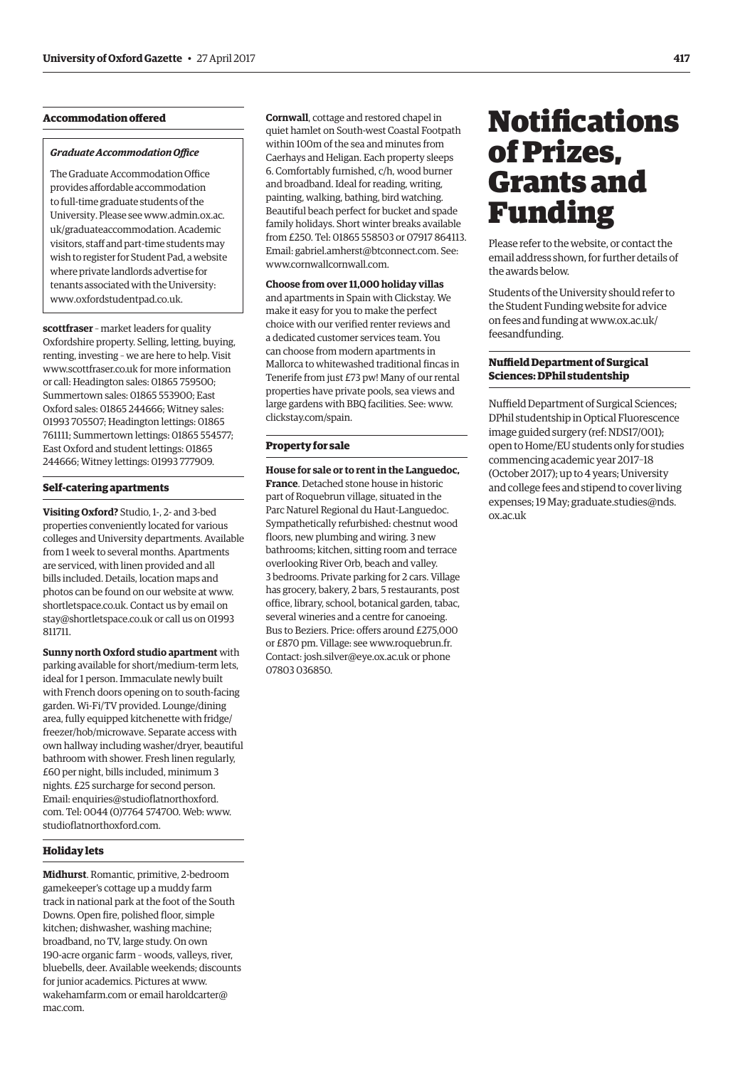# <span id="page-14-0"></span>**Accommodation offered**

#### *Graduate Accommodation Office*

The Graduate Accommodation Office provides affordable accommodation to full-time graduate students of the [University. Please see www.admin.ox.ac.](www.admin.ox.ac.uk/graduateaccommodation) uk/graduateaccommodation. Academic visitors, staff and part-time students may wish to register for Student Pad, a website where private landlords advertise for tenants associated with the University: [www.oxfordstudentpad.co.uk.](http://www.oxfordstudentpad.co.uk)

**scottfraser** – market leaders for quality Oxfordshire property. Selling, letting, buying, renting, investing – we are here to help. Visit [www.scottfraser.co.uk fo](http://www.scottfraser.co.uk)r more information or call: Headington sales: 01865 759500; Summertown sales: 01865 553900; East Oxford sales: 01865 244666; Witney sales: 01993 705507; Headington lettings: 01865 761111; Summertown lettings: 01865 554577; East Oxford and student lettings: 01865 244666; Witney lettings: 01993 777909.

#### **Self-catering apartments**

**Visiting Oxford?** Studio, 1-, 2- and 3-bed properties conveniently located for various colleges and University departments. Available from 1 week to several months. Apartments are serviced, with linen provided and all bills included. Details, location maps and photos can be found on our website at [www.](http://www.shortletspace.co.uk) [shortletspace.co.uk. Co](http://www.shortletspace.co.uk)ntact us by email on [stay@shortletspace.co.uk or](mailto:stay@shortletspace.co.uk) call us on 01993 811711.

**Sunny north Oxford studio apartment** with parking available for short/medium-term lets, ideal for 1 person. Immaculate newly built with French doors opening on to south-facing garden. Wi-Fi/TV provided. Lounge/dining area, fully equipped kitchenette with fridge/ freezer/hob/microwave. Separate access with own hallway including washer/dryer, beautiful bathroom with shower. Fresh linen regularly, £60 per night, bills included, minimum 3 nights. £25 surcharge for second person. Email: [enquiries@studioflatnorthoxford.](mailto:enquiries@studioflatnorthoxford.com) com. Tel: 0044 (0)7764 574700. Web: [www.](http://www.studioflatnorthoxford.com) [studioflatnorthoxford.com.](http://www.studioflatnorthoxford.com)

# **Holiday lets**

**Midhurst**. Romantic, primitive, 2-bedroom gamekeeper's cottage up a muddy farm track in national park at the foot of the South Downs. Open fire, polished floor, simple kitchen; dishwasher, washing machine; broadband, no TV, large study. On own 190-acre organic farm – woods, valleys, river, bluebells, deer. Available weekends; discounts for junior academics. Pictures at [www.](http://www.wakehamfarm.com) [wakehamfarm.com or](http://www.wakehamfarm.com) e[mail haroldcarter@](mailto:haroldcarter@mac.com) mac.com.

**Cornwall**, cottage and restored chapel in quiet hamlet on South-west Coastal Footpath within 100m of the sea and minutes from Caerhays and Heligan. Each property sleeps 6. Comfortably furnished, c/h, wood burner and broadband. Ideal for reading, writing, painting, walking, bathing, bird watching. Beautiful beach perfect for bucket and spade family holidays. Short winter breaks available from £250. Tel: 01865 558503 or 07917 864113. Email: [gabriel.amherst@btconnect.com. Se](mailto:gabriel.amherst@btconnect.com)e: [www.cornwallcornwall.com.](http://www.cornwallcornwall.com)

#### **Choose from over 11,000 holiday villas**

and apartments in Spain with Clickstay. We make it easy for you to make the perfect choice with our verified renter reviews and a dedicated customer services team. You can choose from modern apartments in Mallorca to whitewashed traditional fincas in Tenerife from just £73 pw! Many of our rental properties have private pools, sea views and large gardens with BBQ facilities. See: [www.](http://www.clickstay.com/spain) [clickstay.com/spain.](http://www.clickstay.com/spain)

# **Property for sale**

**House for sale or to rent in the Languedoc, France**. Detached stone house in historic part of Roquebrun village, situated in the Parc Naturel Regional du Haut-Languedoc. Sympathetically refurbished: chestnut wood floors, new plumbing and wiring. 3 new bathrooms; kitchen, sitting room and terrace overlooking River Orb, beach and valley. 3 bedrooms. Private parking for 2 cars. Village has grocery, bakery, 2 bars, 5 restaurants, post office, library, school, botanical garden, tabac, several wineries and a centre for canoeing. Bus to Beziers. Price: offers around £275,000 or £870 pm. Village: see [www.roquebrun.fr.](http://www.roquebrun.fr)  Contact: [josh.silver@eye.ox.ac.uk or](mailto:josh.silver@eye.ox.ac.uk) phone 07803 036850.

# **Notifications** of Prizes, Grants and Funding

Please refer to the website, or contact the email address shown, for further details of the awards below.

Students of the University should refer to the Student Funding website for advice [on fees and funding at www.ox.ac.uk/](www.ox.ac.uk/feesandfunding) feesandfunding.

# **Nuffield Department of Surgical Sciences: DPhil studentship**

Nuffield Department of Surgical Sciences; DPhil studentship in Optical Fluorescence image guided surgery (ref: NDS17/001); open to Home/EU students only for studies commencing academic year 2017–18 (October 2017); up to 4 years; University and college fees and stipend to cover living [expenses; 19 May; graduate.studies@nds.](mailto:graduate.studies@nds.ox.ac.uk) ox.ac.uk